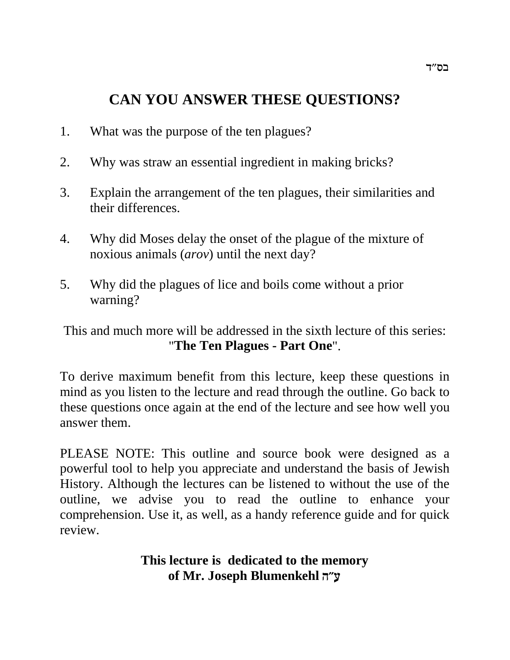# **CAN YOU ANSWER THESE QUESTIONS?**

- 1. What was the purpose of the ten plagues?
- 2. Why was straw an essential ingredient in making bricks?
- 3. Explain the arrangement of the ten plagues, their similarities and their differences.
- 4. Why did Moses delay the onset of the plague of the mixture of noxious animals (*arov*) until the next day?
- 5. Why did the plagues of lice and boils come without a prior warning?

This and much more will be addressed in the sixth lecture of this series: "**The Ten Plagues - Part One**".

To derive maximum benefit from this lecture, keep these questions in mind as you listen to the lecture and read through the outline. Go back to these questions once again at the end of the lecture and see how well you answer them.

PLEASE NOTE: This outline and source book were designed as a powerful tool to help you appreciate and understand the basis of Jewish History. Although the lectures can be listened to without the use of the outline, we advise you to read the outline to enhance your comprehension. Use it, as well, as a handy reference guide and for quick review.

## **This lecture is dedicated to the memory of Mr. Joseph Blumenkehl d"r**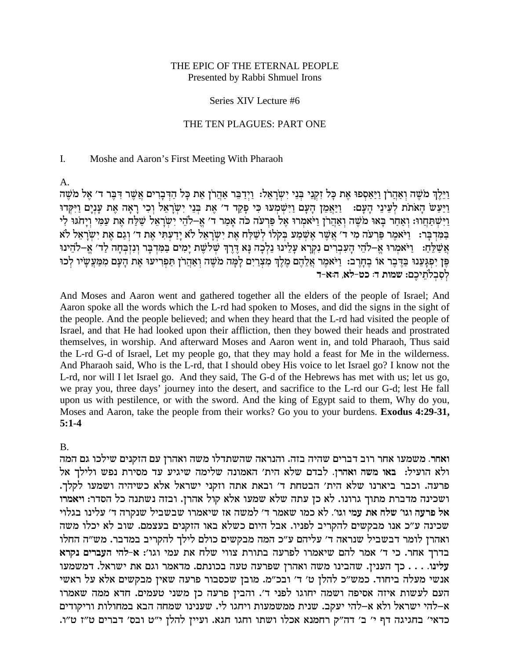### THE EPIC OF THE ETERNAL PEOPLE Presented by Rabbi Shmuel Irons

#### Series XIV Lecture #6

### THE TEN PLAGUES: PART ONE

#### L. Moshe and Aaron's First Meeting With Pharaoh

 $\mathsf{A}$ .

וַיֵּלֵךְ מֹשֶׁה וְאַהֲרֹן וַיַּאֲסִפוּ אֶת כַּל זְקִנֵי בְּנֵי יְשַׂרְאָל: וַיַּדְבֶר אֲהֲרֹן אֶת כָּל הַדִּבְרִים אֲשֶׁר דְבֶּר ד' אֶל מֹשֶׁה ויעש האתת לעיני העם: ויאמן העם וישמעו כי פקד ד' את בני ישראל וכי ראה את ענים ויקדו וַיִּשְׁתַּחֲוֹוּ: וְאֲחָר בָּאוּ מֹשֶׁה וְאָהֲרֹן וַיֹּאמְרוּ אֵל פַּרְעֹה כֹּה אָמֶר ד׳ אֵ–לֹהֵי יְשָׂרָאֵל שַׁלָּח אֶת עָמַי וְיַחֹגּוּ לִי בַּמַּדְבֵר: נֵיֹאמֶר פַּרְעַה מִי ד׳ אֲשֶׁר אֲשֶׁמֲע בִקְלוּ לְשֵׁלַּח אֶת יִשְׂרָאֵל לֹא יַדֲעָתִּי אֶת ד׳ וְגַם אֶת יִשְׂרָאֵל לֹא אֲשָׁלֵחָ: וַיֹּאמְרוּ אֲ–לֹהֵי הַעִּבְרִים נִקְרָא עַלֵינוּ נֵלְכָה נַא דֶרֶךְ שָׁלֹשֶׁת יַמִים בַּמִּדְבָּר וְנִזְבְחָה לַד׳ אֵ–לֹהֵינוּ פֵּן יִפְגַּעֲנוּ בַּדֶּבֵר אוֹ בֵחָרֵב: וַיֹּאמֶר אֲלֵהֶם מֶלֶךְ מִצְרַיִם לַמָּה מֹשֶׁה וְאַחֲרֹן תַּפְרִיעוּ אֶת הַעָּם מִמַּעֲשָׁיוּ לְכוּ לסבלתיכם: שמות ד: כט-לא, ה:א-ד

And Moses and Aaron went and gathered together all the elders of the people of Israel; And Aaron spoke all the words which the L-rd had spoken to Moses, and did the signs in the sight of the people. And the people believed; and when they heard that the L-rd had visited the people of Israel, and that He had looked upon their affliction, then they bowed their heads and prostrated themselves, in worship. And afterward Moses and Aaron went in, and told Pharaoh, Thus said the L-rd G-d of Israel, Let my people go, that they may hold a feast for Me in the wilderness. And Pharaoh said, Who is the L-rd, that I should obey His voice to let Israel go? I know not the L-rd, nor will I let Israel go. And they said, The G-d of the Hebrews has met with us; let us go, we pray you, three days' journey into the desert, and sacrifice to the L-rd our G-d; lest He fall upon us with pestilence, or with the sword. And the king of Egypt said to them, Why do you, Moses and Aaron, take the people from their works? Go you to your burdens. Exodus 4:29-31,  $5:1-4$ 

 $\mathbf{B}$ 

ואחר. משמעו אחר רוב דברים שהיה בזה. והנראה שהשתדלו משה ואהרן עם הזקנים שילכו גם המה ולא הועיל: באו משה ואהרן. לבדם שלא הית' האמונה שלימה שיגיע עד מסירת נפש ולילך אל פרעה. וכבר ביארנו שלא הית' הבטחת ד' ובאת אתה וזקני ישראל אלא כשיהיה ושמעו לקלך. ושכינה מדברת מתוך גרונו. לא כן עתה שלא שמעו אלא קול אהרן. ובזה נשתנה כל הסדר: ויאמרו אל פרעה וגו׳ שלח את עמי וגו׳. לא כמו שאמר ד׳ למשה אז שיאמרו שבשביל שנקרה ד׳ עלינו בגלוי שכינה ע"כ אנו מבקשים להקריב לפניו. אבל היום כשלא באו הזקנים בעצמם. שוב לא יכלו משה ואהרן לומר דבשביל שנראה ד׳ עליהם ע״כ המה מבקשים כולם לילך להקריב במדבר. מש״ה החלו בדרך אחר. כי ד' אמר להם שיאמרו לפרעה בתורת צווי שלח את עמי וגו': א-להי העברים נקרא עלינו. . . . כך הענין. שהבינו משה ואהרן שפרעה טעה בכונתם. מדאמר וגם את ישראל. דמשמעו אנשי מעלה ביחוד. כמש"כ להלן ט' ד' ובכ"מ. מובן שכסבור פרעה שאין מבקשים אלא על ראשי העם לעשות איזה אסיפה ושמה יחוגו לפני ד׳. והבין פרעה כן משני טעמים. חדא ממה שאמרו א–להי ישראל ולא א–להי יעקב. שנית ממשמעות ויחגו לי. שענינו שמחה הבא במחולות וריקודים כדאי' בחגיגה דף י' ב' דה"ק רחמנא אכלו ושתו וחגו חגא. ועיין להלן י"ט ובס' דברים ט"ז ט"ו.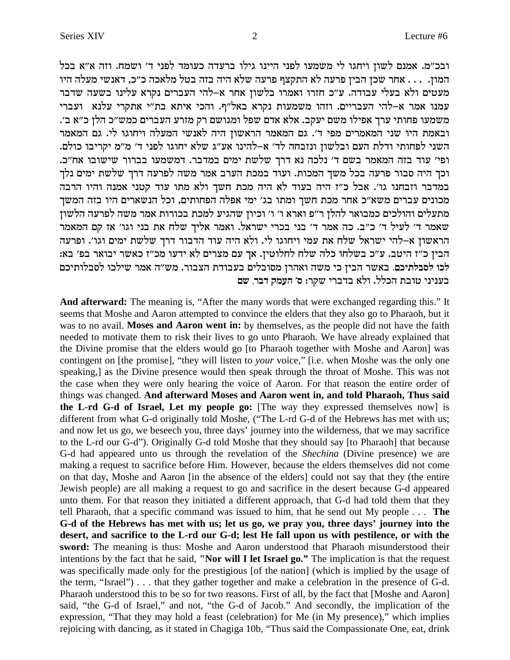ובכ"מ. אמנם לשון ויחגו לי משמעו לפני היינו גילו ברעדה כעומד לפני ד' ושמח. וזה א"א בכל המון. . . . אחר שכן הבין פרעה לא התקצף פרעה שלא היה בזה בטל מלאכה כ״כ, דאנשי מעלה היו מעטים ולא בעלי עבודה. ע"כ חזרו ואמרו בלשון אחר א-להי העברים נקרא עלינו בשעה שדבר עמנו אמר א-להי העבריים. וזהו משמעות נקרא באל"ף. והכי איתא בת"י אתקרי עלנא ועברי משמעו פחותי ערך אפילו משם יעקב. אלא אדם שפל ומגושם רק מזרע העברים כמש״כ הלן כ״א ב׳. ובאמת היו שני המאמרים מפי ד׳. גם המאמר הראשון היה לאנשי המעלה ויחוגו לי. גם המאמר השני לפחותי ודלת העם ובלשון ונזבחה לד׳ א–להינו אע״ג שלא יחוגו לפני ד׳ מ״מ יקריבו כולם. ופי׳ עוד בזה המאמר בשם ד׳ נלכה נא דרך שלשת ימים במדבר. דמשמעו בברור שישובו אח״כ. וכך היה סבור פרעה בכל משך המכות. ועוד במכת הערב אמר משה לפרעה דרך שלשת ימים נלך במדבר וזבחנו גו׳. אבל כ״ז היה בעוד לא היה מכת חשך ולא מתו עוד קטני אמנה והיו הרבה מכונים עברים משא"כ אחר מכת חשך ומתו בג' ימי אפלה הפחותים, וכל הנשארים היו בזה המשך מתעלים והולכים כמבואר להלן ר"פ וארא ו' ו' וכיון שהגיע למכת בכורות אמר משה לפרעה הלשון שאמר ד׳ לעיל ד׳ כ״ב. כה אמר ד׳ בני בכרי ישראל. ואמר אליך שלח את בני וגו׳ אז קם המאמר הראשון א–להי ישראל שלח את עמי ויחוגו לי. ולא היה עוד הדבור דרך שלשת ימים וגו׳. ופרעה הבין כ״ז היטב. ע״כ בשלחו כלה שלח לחלוטין. אך עם מצרים לא ידעו מכ״ז כאשר יבואר בפ׳ בא: לכו לסבלתיכם. באשר הבין כי משה ואהרן מסובלים בעבודת הצבור. מש״ה אמר שילכו לסבלותיכם בעניני טובת הכלל. ולא בדברי שקר: ס׳ העמק דבר, שם

And afterward: The meaning is, "After the many words that were exchanged regarding this." It seems that Moshe and Aaron attempted to convince the elders that they also go to Pharaoh, but it was to no avail. Moses and Aaron went in: by themselves, as the people did not have the faith needed to motivate them to risk their lives to go unto Pharaoh. We have already explained that the Divine promise that the elders would go [to Pharaoh together with Moshe and Aaron] was contingent on [the promise], "they will listen to your voice," [i.e. when Moshe was the only one speaking,] as the Divine presence would then speak through the throat of Moshe. This was not the case when they were only hearing the voice of Aaron. For that reason the entire order of things was changed. And afterward Moses and Aaron went in, and told Pharaoh, Thus said the L-rd G-d of Israel, Let my people go: [The way they expressed themselves now] is different from what G-d originally told Moshe, ("The L-rd G-d of the Hebrews has met with us; and now let us go, we beseech you, three days' journey into the wilderness, that we may sacrifice to the L-rd our G-d"). Originally G-d told Moshe that they should say [to Pharaoh] that because G-d had appeared unto us through the revelation of the Shechina (Divine presence) we are making a request to sacrifice before Him. However, because the elders themselves did not come on that day, Moshe and Aaron [in the absence of the elders] could not say that they (the entire Jewish people) are all making a request to go and sacrifice in the desert because G-d appeared unto them. For that reason they initiated a different approach, that G-d had told them that they tell Pharaoh, that a specific command was issued to him, that he send out My people . . . The G-d of the Hebrews has met with us; let us go, we pray you, three days' journey into the desert, and sacrifice to the L-rd our G-d; lest He fall upon us with pestilence, or with the sword: The meaning is thus: Moshe and Aaron understood that Pharaoh misunderstood their intentions by the fact that he said, "Nor will I let Israel go." The implication is that the request was specifically made only for the prestigious [of the nation] (which is implied by the usage of the term, "Israel")... that they gather together and make a celebration in the presence of G-d. Pharaoh understood this to be so for two reasons. First of all, by the fact that [Moshe and Aaron] said, "the G-d of Israel," and not, "the G-d of Jacob." And secondly, the implication of the expression, "That they may hold a feast (celebration) for Me (in My presence)," which implies rejoicing with dancing, as it stated in Chagiga 10b, "Thus said the Compassionate One, eat, drink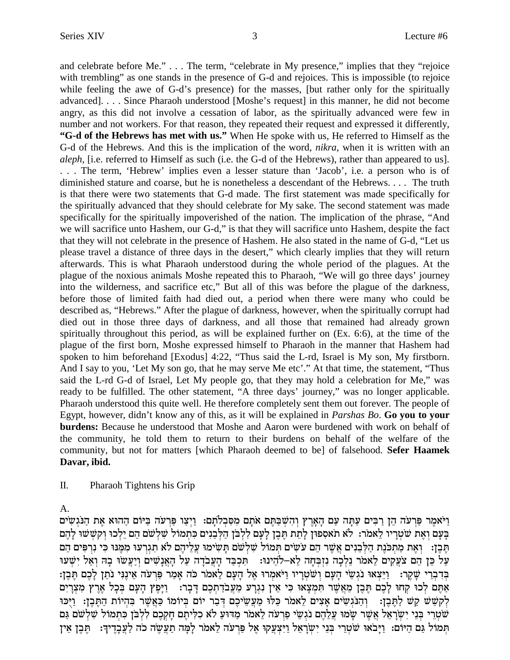and celebrate before Me." . . . The term, "celebrate in My presence," implies that they "rejoice with trembling" as one stands in the presence of G-d and rejoices. This is impossible (to rejoice while feeling the awe of G-d's presence) for the masses, [but rather only for the spiritually advanced]. . . . Since Pharaoh understood [Moshe's request] in this manner, he did not become angry, as this did not involve a cessation of labor, as the spiritually advanced were few in number and not workers. For that reason, they repeated their request and expressed it differently, **"G-d of the Hebrews has met with us."** When He spoke with us, He referred to Himself as the G-d of the Hebrews. And this is the implication of the word, *nikra*, when it is written with an *aleph*, [i.e. referred to Himself as such (i.e. the G-d of the Hebrews), rather than appeared to us]. . . . The term, 'Hebrew' implies even a lesser stature than 'Jacob', i.e. a person who is of diminished stature and coarse, but he is nonetheless a descendant of the Hebrews. . . . The truth is that there were two statements that G-d made. The first statement was made specifically for the spiritually advanced that they should celebrate for My sake. The second statement was made specifically for the spiritually impoverished of the nation. The implication of the phrase, "And we will sacrifice unto Hashem, our G-d," is that they will sacrifice unto Hashem, despite the fact that they will not celebrate in the presence of Hashem. He also stated in the name of G-d, "Let us please travel a distance of three days in the desert," which clearly implies that they will return afterwards. This is what Pharaoh understood during the whole period of the plagues. At the plague of the noxious animals Moshe repeated this to Pharaoh, "We will go three days' journey into the wilderness, and sacrifice etc," But all of this was before the plague of the darkness, before those of limited faith had died out, a period when there were many who could be described as, "Hebrews." After the plague of darkness, however, when the spiritually corrupt had died out in those three days of darkness, and all those that remained had already grown spiritually throughout this period, as will be explained further on (Ex. 6:6), at the time of the plague of the first born, Moshe expressed himself to Pharaoh in the manner that Hashem had spoken to him beforehand [Exodus] 4:22, "Thus said the L-rd, Israel is My son, My firstborn. And I say to you, 'Let My son go, that he may serve Me etc'." At that time, the statement, "Thus said the L-rd G-d of Israel, Let My people go, that they may hold a celebration for Me," was ready to be fulfilled. The other statement, "A three days' journey," was no longer applicable. Pharaoh understood this quite well. He therefore completely sent them out forever. The people of Egypt, however, didn't know any of this, as it will be explained in *Parshas Bo*. **Go you to your burdens:** Because he understood that Moshe and Aaron were burdened with work on behalf of the community, he told them to return to their burdens on behalf of the welfare of the community, but not for matters [which Pharaoh deemed to be] of falsehood. **Sefer Haamek Davar, ibid.**

II. Pharaoh Tightens his Grip

A.

וַיֹּאמֵר פַּרעֹה הֵן רַבִּים עַתַּה עַם הַאֲרֶץ וְהָשִׁבַּתֵּם אֹתֵם מִסְּבְלֹתֵם: וַיִצַו פַּרעֹה בַּיּוֹם הַהוּא אֶת הַנֹּגְשִׂים בעם ואת שטריו לאמר: לא תאספון לתת תבן לעם ללבן הלבנים כתמול שלשם הם ילכו וקששו להם חִבֵן: ` וְאֶת מַתְכֹּנֵת הַלְּבֵנִים אֲשֶׁר הֵם עֹשִׂים תְּמוֹל שַׁלְשֵׁם תַּשִׂימוּ עֲלִיהֵם לֹא תגרעו מִמֶּנוּ כִּי נִרפִּים הֵם ErWß i¶ l`© eß Da® Eoyr£ i©eß miW¶ p®`£d® lr© dc®oar£ d® cA© kß Y¶ :Epid•ol-`l• dg® Aß fßp¶ dk® lß p• xon`l• miw¶ r£ov md• oM• lr© בִּדְבְרִי שֶׁקֵר: [יַיֵּצְאוּ נֹגִשֵי הָעָם וְשֹׁטְרָיו וַיֹּאמִרוּ אֶל הָעָם לֵאמֹר כֹּה אָמַר פַּרִעֹה אֵינֶגִי נֹתֵן לָכֶם תֶּבֶן: אַתֵּם לְכוּ קְחוּ לַכֶם תֵּבֶן מֵאֲשֶׁר תִּמִצְאוּ כִּי אֵין נִגְרַע מֵעֲבֹדֶתְכֶם דַּבָר: [יַפֵּץ הַעָּם בִּכָל אֵרֶץ מִצְרַיִם לְקֹשֶׁשׁ קַשׁׁ לַתֲּבֵן: ) וַהֲנֹּגְשִׂים אֲצִים לֵאמֹר כַּלּוּ מַעֲשֵׂיכֵם דְּבַר יוֹם בִּיוֹמוֹ כַּאֲשֶׁר בִּהְיוֹת הַתֵּבֵן: וַיִּכּוּ שטרי בּנֵי יִשׂרַאֵל אֲשֶׁר שַׂמוּ עֲלֵהֶם נֹגְשֵׂי פַרעֹה לֵאמֹר מַדּוּעַ לֹא כִלִּיתֵם חַקְכֶם לְלְבֹּן כִּתמוֹל שִׁלְשֹׁם גַּם תּמוֹל גַּם הַיּוֹם: וַיַּבֹאוּ שֹׁטְרֵי בְּנֵי יִשְׂרָאֵל וַיִּצְעֲקוּ אֵל פַּרְעֹה לֵאמֹר לַמָּה תַעֲשֶׂה כֹה לַעֲבָדֵיךָ: תֵּבֵן אִין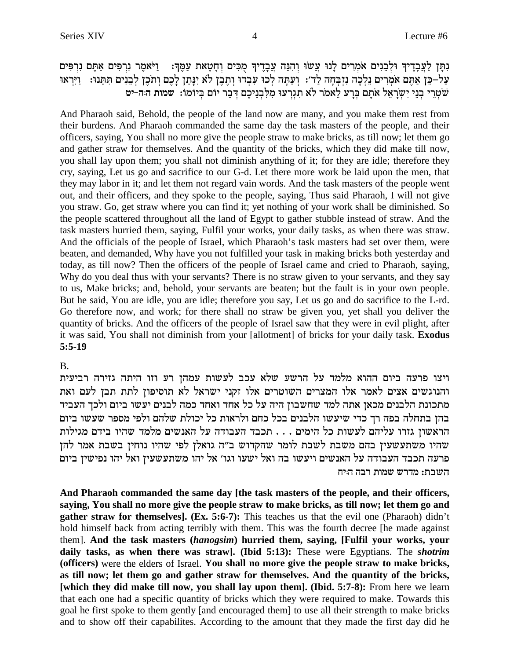נִתַּן לַעֲבָדֵיךְ וּלְבֵנִים אֹמְרִים לַנוּ עֲשׂוּ וְהִנֵּה עֲבָדֵיךָ מִכִּים וְחָטָאת עַמֵּךְ: [יִיֹּאמֶר נִרְפִּים אַתֵּם נִרְפִּים על–כֵּן אַתֵּם אמְרִים נֵלְכָה נִזְבְּחַה לַד׳: וְעַתַּה לְכוּ עִבְדוּ וְתֵבֶן לֹא יְנַתֵן לַכֶם וְתֹכֵן לִבְנִים תִּתֵּנוּ: [יִרְאוּ שִׁטְרֵי בְנֵי יִשְׂרָאֵל אֹתָם בְּרֶע לֵאמֹר לֹא תגוְרִעוּ מִלְבְנֵיכֶם דִּבַר יוֹם בִּיוֹמוֹ: שמות ה<sub>ּ</sub>ה-יט

And Pharaoh said, Behold, the people of the land now are many, and you make them rest from their burdens. And Pharaoh commanded the same day the task masters of the people, and their officers, saying, You shall no more give the people straw to make bricks, as till now; let them go and gather straw for themselves. And the quantity of the bricks, which they did make till now, you shall lay upon them; you shall not diminish anything of it; for they are idle; therefore they cry, saying, Let us go and sacrifice to our G-d. Let there more work be laid upon the men, that they may labor in it; and let them not regard vain words. And the task masters of the people went out, and their officers, and they spoke to the people, saying, Thus said Pharaoh, I will not give you straw. Go, get straw where you can find it; yet nothing of your work shall be diminished. So the people scattered throughout all the land of Egypt to gather stubble instead of straw. And the task masters hurried them, saying, Fulfil your works, your daily tasks, as when there was straw. And the officials of the people of Israel, which Pharaoh's task masters had set over them, were beaten, and demanded, Why have you not fulfilled your task in making bricks both yesterday and today, as till now? Then the officers of the people of Israel came and cried to Pharaoh, saying, Why do you deal thus with your servants? There is no straw given to your servants, and they say to us, Make bricks; and, behold, your servants are beaten; but the fault is in your own people. But he said, You are idle, you are idle; therefore you say, Let us go and do sacrifice to the L-rd. Go therefore now, and work; for there shall no straw be given you, yet shall you deliver the quantity of bricks. And the officers of the people of Israel saw that they were in evil plight, after it was said, You shall not diminish from your [allotment] of bricks for your daily task. **Exodus 5:5-19**

### B.

ויצו פרעה ביום ההוא מלמד על הרשע שלא עכב לעשות עמהן רע וזו היתה גזירה רביעית והנוגשים אצים לאמר אלו המצרים השוטרים אלו זקני ישראל לא תוסיפון לתת תבן לעם ואת מתכונת הלבנים מכאן אתה למד שחשבון היה על כל אחד ואחד כמה לבנים יעשו ביום ולכך העביד בהן בתחלה בפה רך כדי שיעשו הלבנים בכל כחם ולראות כל יכולת שלהם ולפי מספר שעשו ביום הראשון גזרו עליהם לעשות כל הימים . . . תכבד העבודה על האנשים מלמד שהיו בידם מגילות שהיו משתעשעין בהם משבת לשבת לומר שהקדוש ב"ה גואלן לפי שהיו נוחין בשבת אמר להן  $\sim$ פרעה תכבד העבודה על האנשים ויעשו בה ואל ישעו וגו׳ אל יהו משתעשעין ואל יהו נפישין ביום **gi:d dax zeny yxcn** :zayd

**And Pharaoh commanded the same day [the task masters of the people, and their officers, saying, You shall no more give the people straw to make bricks, as till now; let them go and gather straw for themselves]. (Ex. 5:6-7):** This teaches us that the evil one (Pharaoh) didn't hold himself back from acting terribly with them. This was the fourth decree [he made against them]. **And the task masters (***hanogsim***) hurried them, saying, [Fulfil your works, your daily tasks, as when there was straw]. (Ibid 5:13):** These were Egyptians. The *shotrim* **(officers)** were the elders of Israel. **You shall no more give the people straw to make bricks, as till now; let them go and gather straw for themselves. And the quantity of the bricks, [which they did make till now, you shall lay upon them]. (Ibid. 5:7-8):** From here we learn that each one had a specific quantity of bricks which they were required to make. Towards this goal he first spoke to them gently [and encouraged them] to use all their strength to make bricks and to show off their capabilites. According to the amount that they made the first day did he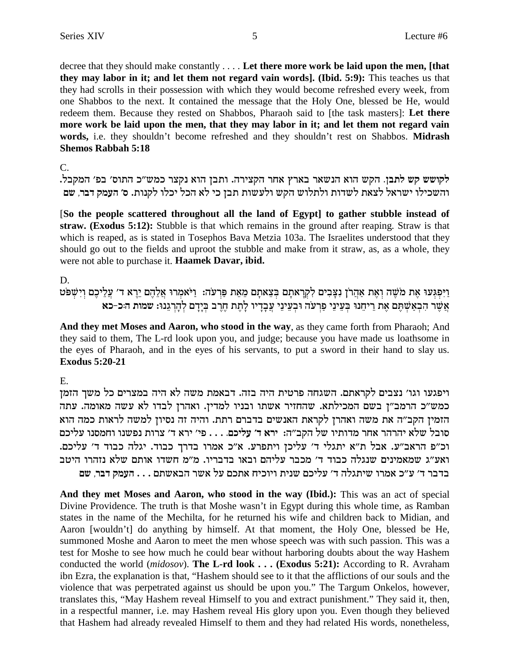decree that they should make constantly .... Let there more work be laid upon the men, [that they may labor in it; and let them not regard vain words]. (Ibid. 5:9): This teaches us that they had scrolls in their possession with which they would become refreshed every week, from one Shabbos to the next. It contained the message that the Holy One, blessed be He, would redeem them. Because they rested on Shabbos, Pharaoh said to [the task masters]: Let there more work be laid upon the men, that they may labor in it; and let them not regard vain words, i.e. they shouldn't become refreshed and they shouldn't rest on Shabbos. Midrash **Shemos Rabbah 5:18** 

 $\mathcal{C}$ .

לקושש קש לתבן. הקש הוא הנשאר בארץ אחר הקצירה. ותבן הוא נקצר כמש״כ התוס׳ בפ׳ המקבל. והשכילו ישראל לצאת לשדות ולתלוש הקש ולעשות תבן כי לא הכל יכלו לקנות. ס׳ העמק דבר, שם

[So the people scattered throughout all the land of Egypt] to gather stubble instead of straw. (Exodus 5:12): Stubble is that which remains in the ground after reaping. Straw is that which is reaped, as is stated in Tosephos Bava Metzia 103a. The Israelites understood that they should go out to the fields and uproot the stubble and make from it straw, as, as a whole, they were not able to purchase it. Haamek Davar, ibid.

### D.

וַיִּפְגְּעוּ אֶת מֹשֶׁה וְאֶת אַהֲרֹן נִצְּבִים לִקְרָאתָם בְּצֵאתָם מֵאֵת פַּרְעֹה: וַיֹּאמְרוּ אֲלֵהֶם יֵרֶא ד׳ עֲלֵיכֶם וְיִשְׁפֹּט אֵשֶׁר הִבְאַשָׁתֶּם אֶת רִיחֵנוּ בִּעֵינֵי פַרְעֹה וּבְעֵינֵי עֲבָדְיוּ לָתֶת חֶרֶב בְּיָדָם לְהָרְגֵנוּ: שמות הּכ-כא

And they met Moses and Aaron, who stood in the way, as they came forth from Pharaoh; And they said to them, The L-rd look upon you, and judge; because you have made us loathsome in the eyes of Pharaoh, and in the eyes of his servants, to put a sword in their hand to slay us. **Exodus 5:20-21** 

### E.

ויפגעו וגו' נצבים לקראתם. השגחה פרטית היה בזה. דבאמת משה לא היה במצרים כל משך הזמן כמש"כ הרמב"ן בשם המכילתא. שהחזיר אשתו ובניו למדין. ואהרן לבדו לא עשה מאומה. עתה הזמין הקב"ה את משה ואהרן לקראת האנשים בדברם רתת. והיה זה נסיון למשה לראות כמה הוא סובל שלא יהרהר אחר מדותיו של הקב״ה: ירא ד׳ עליכם. . . . פי׳ ירא ד׳ צרות נפשנו וחמסנו עליכם וכ"פ הראב"ע. אבל ת"א יתגלי ד' עליכן ויתפרע. א"כ אמרו בדרך כבוד. יגלה כבוד ד' עליכם. ואע"ג שמאמינים שנגלה כבוד ד' מכבר עליהם ובאו בדבריו. מ"מ חשדו אותם שלא נזהרו היטב בדבר ד׳ ע״כ אמרו שיתגלה ד׳ עליכם שנית ויוכיח אתכם על אשר הבאשתם . . . העמק דבר. שם

And they met Moses and Aaron, who stood in the way (Ibid.): This was an act of special Divine Providence. The truth is that Moshe wasn't in Egypt during this whole time, as Ramban states in the name of the Mechilta, for he returned his wife and children back to Midian, and Aaron [wouldn't] do anything by himself. At that moment, the Holy One, blessed be He, summoned Moshe and Aaron to meet the men whose speech was with such passion. This was a test for Moshe to see how much he could bear without harboring doubts about the way Hashem conducted the world *(midosov)*. The L-rd look . . . (Exodus 5:21): According to R. Avraham ibn Ezra, the explanation is that, "Hashem should see to it that the afflictions of our souls and the violence that was perpetrated against us should be upon you." The Targum Onkelos, however, translates this, "May Hashem reveal Himself to you and extract punishment." They said it, then, in a respectful manner, i.e. may Hashem reveal His glory upon you. Even though they believed that Hashem had already revealed Himself to them and they had related His words, nonetheless,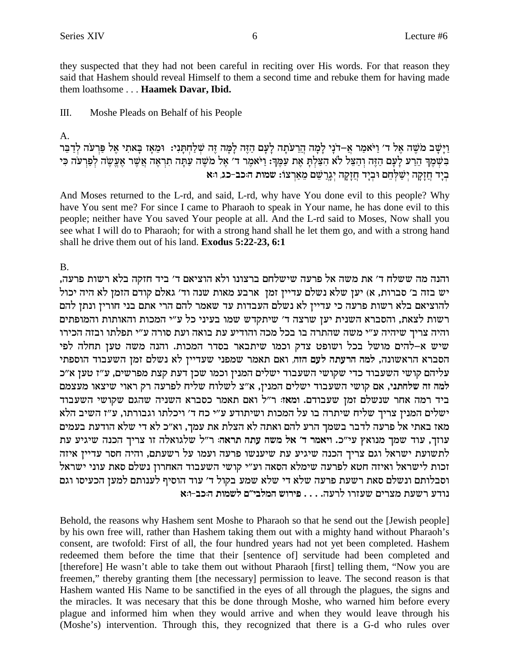they suspected that they had not been careful in reciting over His words. For that reason they said that Hashem should reveal Himself to them a second time and rebuke them for having made them loathsome . . . Haamek Davar, Ibid.

#### $III.$ Moshe Pleads on Behalf of his People

A.

וַיַּשַׁב מֹשֵׁה אֱל ד׳ וַיֹּאמַר אֲ–דֹנַי לַמָה הֵרֵעֹתַה לַעָּם הָזֶה לַמַּה זֶה שְׁלַחְתַּנִי: וּמֵאָז בַּאתִי אֱל פַּרְעֹה לְדָבֵר בִּשְׁמֶךְ הֵרַע לַעָם הַזֶּה וְהַצֵּל לֹא הִצַּלְתָּ אֶת עַמֶּךְ: וַיֹּאמֶר ד' אֶל מֹשֶׁה עַתַּה תִרְאֶה אֲשֶׁר אֶעֵשֶׂה לְפַרְעֹה כִּי בְיָד חֲזָקָה יִשַׁלְחֵם וּבְיָד חֲזָקָה יְגֶרַשֵׁם מֵאַרְצוֹ: שמות הּכּב-כג, וּא

And Moses returned to the L-rd, and said, L-rd, why have You done evil to this people? Why have You sent me? For since I came to Pharaoh to speak in Your name, he has done evil to this people; neither have You saved Your people at all. And the L-rd said to Moses, Now shall you see what I will do to Pharaoh; for with a strong hand shall he let them go, and with a strong hand shall he drive them out of his land. **Exodus 5:22-23, 6:1** 

 $B<sub>1</sub>$ 

והנה מה ששלח ד' את משה אל פרעה שישלחם ברצונו ולא הוציאם ד' ביד חזקה בלא רשות פרעה, יש בזה ב׳ סברות, א) יען שלא נשלם עדיין זמן ארבע מאות שנה וד׳ גאלם קודם הזמן לא היה יכול להוציאם בלא רשות פרעה כי עדיין לא נשלם העבדות עד שאמר להם הרי אתם בני חורין ונתן להם רשות לצאת, והסברא השנית יען שרצה ד׳ שיתקדש שמו בעיני כל ע״י המכות והאותות והמופתים והיה צריך שיהיה ע"י משה שהתרה בו בכל מכה והודיע עת בואה ועת סורה ע"י תפלתו ובזה הכירו שיש א-להים מושל בכל ושופט צדק וכמו שיתבאר בסדר המכות. והנה משה טען תחלה לפי הסברא הראשונה, למה הרעתה לעם הזה, ואם תאמר שמפני שעדיין לא נשלם זמן השעבוד הוספתי עליהם קושי השעבוד כדי שקושי השעבוד ישלים המנין וכמו שכן דעת קצת מפרשים, ע"ז טען א"כ למה זה שלחתני, אם קושי השעבוד ישלים המנין, א"צ לשלוח שליח לפרעה רק ראוי שיצאו מעצמם ביד רמה אחר שנשלם זמן שעבודם. ומאז: ר"ל ואם תאמר כסברא השניה שהגם שקושי השעבוד ישלים המניז צריך שליח שיתרה בו על המכות ושיתודע ע״י כח ד׳ ויכלתו וגבורתו, ע״ז השיב הלא מאז באתי אל פרעה לדבר בשמך הרע להם ואתה לא הצלת את עמך, וא״כ לא די שלא הודעת בעמים עוזך, עוד שמך מנואץ עי״כ. ויאמר ד׳ אל משה עתה תראה: ר״ל שלגואלה זו צריך הכנה שיגיע עת לתשועת ישראל וגם צריך הכנה שיגיע עת שיענשו פרעה ועמו על רשעתם, והיה חסר עדיין איזה זכות לישראל ואיזה חטא לפרעה שימלא הסאה וע"י קושי השעבוד האחרון נשלם סאת עוני ישראל וסבלותם ונשלם סאת רשעת פרעה שלא די שלא שמע בקול ד׳ עוד הוסיף לענותם למען הכעיסו וגם נודע רשעת מצרים שעזרו לרעה. . . . פירוש המלבי״ם לשמות ה:כב-ו:א

Behold, the reasons why Hashem sent Moshe to Pharaoh so that he send out the [Jewish people] by his own free will, rather than Hashem taking them out with a mighty hand without Pharaoh's consent, are twofold: First of all, the four hundred years had not yet been completed. Hashem redeemed them before the time that their [sentence of] servitude had been completed and [therefore] He wasn't able to take them out without Pharaoh [first] telling them, "Now you are freemen," thereby granting them [the necessary] permission to leave. The second reason is that Hashem wanted His Name to be sanctified in the eyes of all through the plagues, the signs and the miracles. It was necesary that this be done through Moshe, who warned him before every plague and informed him when they would arrive and when they would leave through his (Moshe's) intervention. Through this, they recognized that there is a G-d who rules over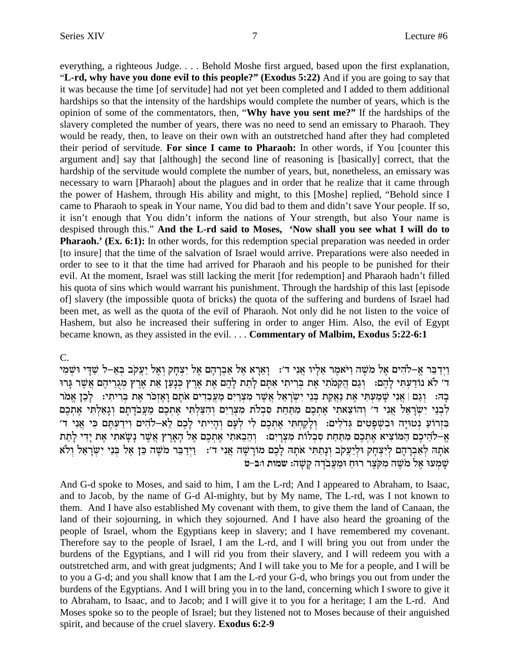everything, a righteous Judge. . . . Behold Moshe first argued, based upon the first explanation, "**L-rd, why have you done evil to this people?" (Exodus 5:22)** And if you are going to say that it was because the time [of servitude] had not yet been completed and I added to them additional hardships so that the intensity of the hardships would complete the number of years, which is the opinion of some of the commentators, then, "**Why have you sent me?"** If the hardships of the slavery completed the number of years, there was no need to send an emissary to Pharaoh. They would be ready, then, to leave on their own with an outstretched hand after they had completed their period of servitude. **For since I came to Pharaoh:** In other words, if You [counter this argument and] say that [although] the second line of reasoning is [basically] correct, that the hardship of the servitude would complete the number of years, but, nonetheless, an emissary was necessary to warn [Pharaoh] about the plagues and in order that he realize that it came through the power of Hashem, through His ability and might, to this [Moshe] replied, "Behold since I came to Pharaoh to speak in Your name, You did bad to them and didn't save Your people. If so, it isn't enough that You didn't inform the nations of Your strength, but also Your name is despised through this."**And the L-rd said to Moses, 'Now shall you see what I will do to Pharaoh.'** (**Ex. 6:1):** In other words, for this redemption special preparation was needed in order [to insure] that the time of the salvation of Israel would arrive. Preparations were also needed in order to see to it that the time had arrived for Pharaoh and his people to be punished for their evil. At the moment, Israel was still lacking the merit [for redemption] and Pharaoh hadn't filled his quota of sins which would warrant his punishment. Through the hardship of this last [episode of] slavery (the impossible quota of bricks) the quota of the suffering and burdens of Israel had been met, as well as the quota of the evil of Pharaoh. Not only did he not listen to the voice of Hashem, but also he increased their suffering in order to anger Him. Also, the evil of Egypt became known, as they assisted in the evil. . . . **Commentary of Malbim, Exodus 5:22-6:1**

C.

נִיַּדַבֵּר אֵ–לֹהִים אֵל מֹשֶׁה וַיֹּאמֶר אֲלֵיו אֵנִי ד׳: נַאֲרַא אֵל אַבְרַהַם אֵל יִצְחַק וְאֵל יַעֲקֹב בִּאֶ–ל שַׁדִּי וּשָׁמִי ExB® xW§ `£ md§ ix•b™nß ux§`§ z`• or© p®Mß ux§`§ z`§ md§ l® zz• l® mY® `¶ iz¶ ix¶Aß z`§ iz¶ onw¶ d£ mb©eß :md§ l® iY¶ rß c©Fp `ol 'c בַהּ: וְגַם | אֲנִי שַׁמֲעַתִּי אֶת נַאֲקַת בְּנֵי יִשְׂרָאֵל אֲשֶׁר מִצְרַיִם מַעֲבְדִים אֹתַם וַאֲזִכֹּר אֶת בְּרִיתִי: `לַכֶן אֶמֹר לְבְנֵי יִשְׂרָאֵל אֲנִי ד' וְהוֹצֵאתי אֶתְכֶם מִתַּחַת סְבִלֹת מַצְרֵים וְהַצָּלְתִּי אֶתְכֶם מֵעֲבֹדֶתֶם וְגָאֵלְתִּי אֶתְכֶם 'בִּזְרוֹעַ נְטוּיַה וּבְשֶׁפַּטִים גִּדלִים: וְלַקַחִתִּי אֶתְכֶם לִי לְעֲם וְהָיִיתִי לַכֶם לָא–לֹהִים וְידָעָתִם כִּי אֲנִי ד צ−להיכם המוציא אתכם מתחת סבלות מצרים: ⊥והבאתי אתכם אל הארץ אַשֶׁר נַשַׂאתי אֶת יַדִי לַתֶת אתה לאברהם ליצחק וליעקב ונתתי אתה לכם מורשה אני ד׳: [יִדַבֵּר מֹשֵׁה כֵּן אֵל בְּנֵי יִשְׂרָאֵל וְלֹא **h-a:e zeny** :dW® w® dc®oar£ n• E g© Ex xv§oTn¶ dW§ on l`§ Ernß W®

And G-d spoke to Moses, and said to him, I am the L-rd; And I appeared to Abraham, to Isaac, and to Jacob, by the name of G-d Al-mighty, but by My name, The L-rd, was I not known to them. And I have also established My covenant with them, to give them the land of Canaan, the land of their sojourning, in which they sojourned. And I have also heard the groaning of the people of Israel, whom the Egyptians keep in slavery; and I have remembered my covenant. Therefore say to the people of Israel, I am the L-rd, and I will bring you out from under the burdens of the Egyptians, and I will rid you from their slavery, and I will redeem you with a outstretched arm, and with great judgments; And I will take you to Me for a people, and I will be to you a G-d; and you shall know that I am the L-rd your G-d, who brings you out from under the burdens of the Egyptians. And I will bring you in to the land, concerning which I swore to give it to Abraham, to Isaac, and to Jacob; and I will give it to you for a heritage; I am the L-rd. And Moses spoke so to the people of Israel; but they listened not to Moses because of their anguished spirit, and because of the cruel slavery. **Exodus 6:2-9**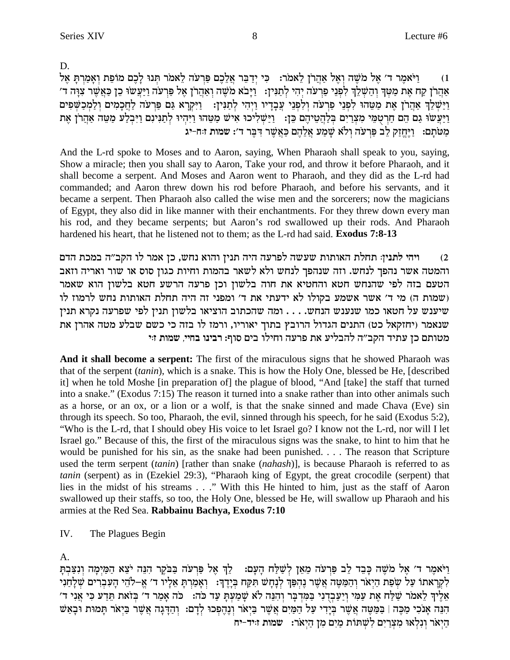D.

וַיֹּאמֵר ד׳ אֵל מֹשֵׁה וְאֵל אַהֲרֹן לֵאמֹר: | כִּי יִדַבֵּר אֲלֵכֶם פַּרְעֹה לֵאמֹר תְּנוּ לַכֵם מוֹפֵת וְאַמַרִתַּ אֵל  $(1)$ אַהַרן קַח אַת מַטְךְ וְהַשָּׁלַךְ לִפְנֵי פַרְעֹה יָהִי לְתַנִּין: - וַיַּבֹא מֹשֶׁה וְאַהֲרֹן אָל פַּרְעֹה וַיַּעֲשׂוּ כֵן כַּאֲשֶׁר צִוַּה ד' וַיַּשְׁלֵךְ אַהֲרֹן אֶת מַטֵּהוּ לִפְנֵי פַרְעֹה וְלִפְנֵי עֲבָדָיו וַיִּהִי לְתַנִּין: וַיִּקְרָא גַּם פַּרְעֹה לַחֲכָמִים וְלַמְכָשָׁפִים וַיַּעֲלֹּ עֵם הַבְּחַטְ מִצְרַיִם בְּלַהֲטֵיהֶם בֵּן: [יַּשְׁלִיכוּ אִישׁ מַטֵּהוּ וַיִּהְיוּ לְתַנִּינִם וַיִּבְלַע מַטֵּה אַהֲרֹן אֶת מַטֹּתָם: וַיֵּחֱזַק לֵבֹ פַּרְעֹה וְלֹא שָׁמַע אֲלֵהֶם כַּאֲשֵׁר דְּבֵר ד׳: שמות זּוּח-יג

And the L-rd spoke to Moses and to Aaron, saying, When Pharaoh shall speak to you, saying, Show a miracle; then you shall say to Aaron, Take your rod, and throw it before Pharaoh, and it shall become a serpent. And Moses and Aaron went to Pharaoh, and they did as the L-rd had commanded; and Aaron threw down his rod before Pharaoh, and before his servants, and it became a serpent. Then Pharaoh also called the wise men and the sorcerers; now the magicians of Egypt, they also did in like manner with their enchantments. For they threw down every man his rod, and they became serpents; but Aaron's rod swallowed up their rods. And Pharaoh hardened his heart, that he listened not to them; as the L-rd had said. Exodus 7:8-13

ויהי לתנין: תחלת האותות שעשה לפרעה היה תנין והוא נחש, כן אמר לו הקב״ה במכת הדם  $(2)$ והמטה אשר נהפך לנחש. וזה שנהפך לנחש ולא לשאר בהמות וחיות כגון סוס או שור ואריה וזאב הטעם בזה לפי שהנחש חטא והחטיא את חוה בלשון וכן פרעה הרשע חטא בלשון הוא שאמר (שמות ה) מי ד' אשר אשמע בקולו לא ידעתי את ד' ומפני זה היה תחלת האותות נחש לרמוז לו שיענש על חטאו כמו שנענש הנחש. . . . ומה שהכתוב הוציאו בלשון תנין לפי שפרעה נקרא תנין שנאמר (יחזקאל כט) התנים הגדול הרובץ בתוך יאוריו, ורמז לו בזה כי כשם שבלע מטה אהרן את מטותם כן עתיד הקב״ה להבליע את פרעה וחילו בים סוף: רבינו בחיי, שמות זוי

And it shall become a serpent: The first of the miraculous signs that he showed Pharaoh was that of the serpent *(tanin)*, which is a snake. This is how the Holy One, blessed be He, *[described*] it] when he told Moshe [in preparation of] the plague of blood, "And [take] the staff that turned into a snake." (Exodus 7:15) The reason it turned into a snake rather than into other animals such as a horse, or an ox, or a lion or a wolf, is that the snake sinned and made Chava (Eve) sin through its speech. So too, Pharaoh, the evil, sinned through his speech, for he said (Exodus 5:2), "Who is the L-rd, that I should obey His voice to let Israel go? I know not the L-rd, nor will I let Israel go." Because of this, the first of the miraculous signs was the snake, to hint to him that he would be punished for his sin, as the snake had been punished.... The reason that Scripture used the term serpent *(tanin)* [rather than snake *(nahash)*], is because Pharaoh is referred to as tanin (serpent) as in (Ezekiel 29:3), "Pharaoh king of Egypt, the great crocodile (serpent) that lies in the midst of his streams . . ." With this He hinted to him, just as the staff of Aaron swallowed up their staffs, so too, the Holy One, blessed be He, will swallow up Pharaoh and his armies at the Red Sea. Rabbainu Bachya, Exodus 7:10

IV. The Plagues Begin

 $\mathbf{A}$ 

ויֹאמר ד' אל מֹשׁה כּבד לב פּרעֹה מאן לֹשׁלֹח העם: | לֹךְ אל פּרעֹה בּבֹקר הנּה יֹצא המימה ונצבת לקראתו על שפת היאר והמטה אשר נהפר לנחש תקח בידר: ואמרת אליו ד׳ א–להי העברים שלחני אֵלִיךְ לֵאמֹר שַׁלַּח אֶת עַמִּי וְיַעֲבְדִנִי בַּמִּדְבָר וְהִנֶּה לֹא שַׁמַעְתַּ עַד כֹּה: בֹּה אַמַר ד' בִּזאת תֵּדַע כִּי אֲנִי ד' הִנֵּה אָנֹכִי מַכֶּה | בַּמַּטֶּה אֲשֶׁר בְיָדִי עַל הַמַּיִם אֲשֶׁר בַּיְאֹר וְנֶהֶפְּכוּ לְדָם: וְהַדְּנָה אֲשֶׁר בַּיְאֹר תְּמוּת וּבְאַשׁ היאר ונלאו מצרים לשתות מים מן היאר: שמות זייד-יח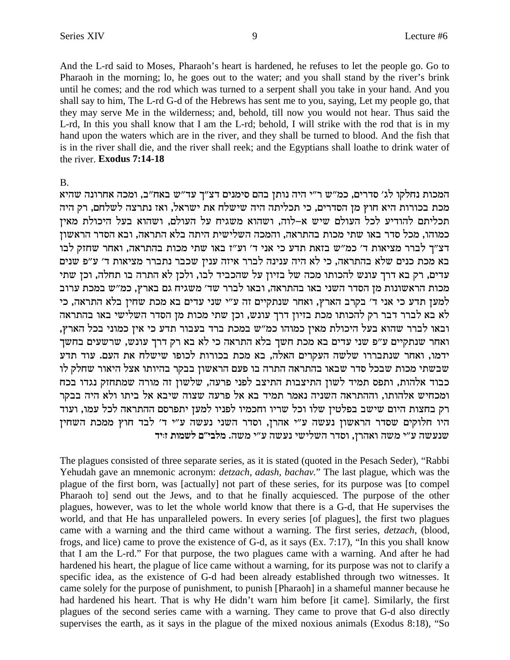And the L-rd said to Moses, Pharaoh's heart is hardened, he refuses to let the people go. Go to Pharaoh in the morning; lo, he goes out to the water; and you shall stand by the river's brink until he comes; and the rod which was turned to a serpent shall you take in your hand. And you shall say to him, The L-rd G-d of the Hebrews has sent me to you, saying, Let my people go, that they may serve Me in the wilderness; and, behold, till now you would not hear. Thus said the L-rd, In this you shall know that I am the L-rd; behold, I will strike with the rod that is in my hand upon the waters which are in the river, and they shall be turned to blood. And the fish that is in the river shall die, and the river shall reek; and the Egyptians shall loathe to drink water of the river. Exodus 7:14-18

 $\mathbf{B}$ 

המכות נחלקו לג׳ סדרים, כמ״ש ר״י היה נותן בהם סימנים דצ״ך עד״ש באח״ב, ומכה אחרונה שהיא מכת בכורות היא חוץ מן הסדרים, כי תכליתה היה שישלח את ישראל, ואז נתרצה לשלחם, רק היה תכליתם להודיע לכל העולם שיש א–לוה, ושהוא משגיח על העולם, ושהוא בעל היכולת מאין כמוהו, מכל סדר באו שתי מכות בהתראה, והמכה השלישית היתה בלא התראה, ובא הסדר הראשון דצ"ך לברר מציאות ד' כמ"ש בזאת תדע כי אני ד' וע"ז באו שתי מכות בהתראה, ואחר שחזק לבו בא מכת כנים שלא בהתראה, כי לא היה ענינה לברר איזה ענין שכבר נתברר מציאות ד׳ ע״פ שנים עדים, רק בא דרך עונש להכותו מכה של בזיון על שהכביד לבו, ולכן לא התרה בו תחלה, וכן שתי מכות הראשונות מן הסדר השני באו בהתראה, ובאו לברר שד׳ משגיח גם בארץ, כמ״ש במכת ערוב למען תדע כי אני ד' בקרב הארץ, ואחר שנתקיים זה ע"י שני עדים בא מכת שחין בלא התראה, כי לא בא לברר דבר רק להכותו מכת בזיון דרך עונש, וכן שתי מכות מן הסדר השלישי באו בהתראה ובאו לברר שהוא בעל היכולת מאין כמוהו כמ"ש במכת ברד בעבור תדע כי אין כמוני בכל הארץ, ואחר שנתקיים ע"פ שני עדים בא מכת חשך בלא התראה כי לא בא רק דרך עונש, שרשעים בחשך ידמו, ואחר שנתבררו שלשה העקרים האלה, בא מכת בכורות לכופו שישלח את העם. עוד תדע שבשתי מכות שבכל סדר שבאו בהתראה התרה בו פעם הראשון בבקר בהיותו אצל היאור שחלק לו כבוד אלהות, ותפס תמיד לשון התיצבות התיצב לפני פרעה, שלשון זה מורה שמתחזק נגדו בכח ומכחיש אלהותו, וההתראה השניה נאמר תמיד בא אל פרעה שצוה שיבא אל ביתו ולא היה בבקר רק בחצות היום שישב בפלטין שלו וכל שריו וחכמיו לפניו למען יתפרסם ההתראה לכל עמו, ועוד היו חלוקים שסדר הראשון נעשה ע"י אהרן, וסדר השני נעשה ע"י ד' לבד חוץ ממכת השחין שנעשה ע״י משה ואהרן, וסדר השלישי נעשה ע״י משה. מלבי״ם לשמות זויד

The plagues consisted of three separate series, as it is stated (quoted in the Pesach Seder), "Rabbi Yehudah gave an mnemonic acronym: *detzach*, *adash*, *bachav*." The last plague, which was the plague of the first born, was [actually] not part of these series, for its purpose was [to compel Pharaoh to] send out the Jews, and to that he finally acquiesced. The purpose of the other plagues, however, was to let the whole world know that there is a G-d, that He supervises the world, and that He has unparalleled powers. In every series [of plagues], the first two plagues came with a warning and the third came without a warning. The first series, *detzach*, (blood, frogs, and lice) came to prove the existence of G-d, as it says (Ex. 7:17), "In this you shall know that I am the L-rd." For that purpose, the two plagues came with a warning. And after he had hardened his heart, the plague of lice came without a warning, for its purpose was not to clarify a specific idea, as the existence of G-d had been already established through two witnesses. It came solely for the purpose of punishment, to punish [Pharaoh] in a shameful manner because he had hardened his heart. That is why He didn't warn him before [it came]. Similarly, the first plagues of the second series came with a warning. They came to prove that G-d also directly supervises the earth, as it says in the plague of the mixed noxious animals (Exodus 8:18), "So

9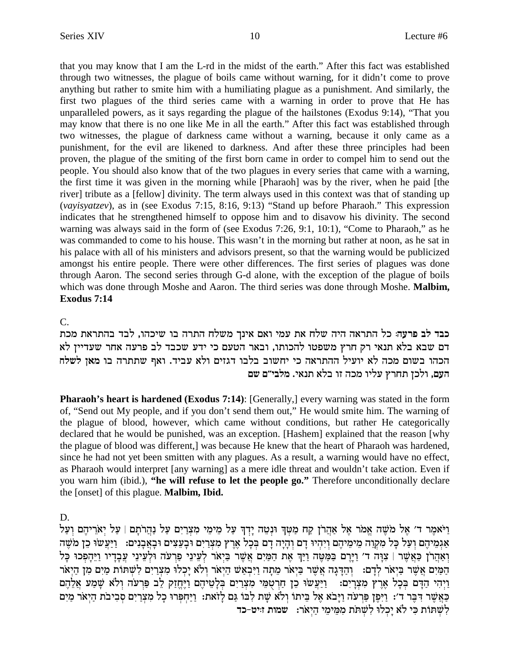that you may know that I am the L-rd in the midst of the earth." After this fact was established through two witnesses, the plague of boils came without warning, for it didn't come to prove anything but rather to smite him with a humiliating plague as a punishment. And similarly, the first two plagues of the third series came with a warning in order to prove that He has unparalleled powers, as it says regarding the plague of the hailstones (Exodus 9:14), "That you may know that there is no one like Me in all the earth." After this fact was established through two witnesses, the plague of darkness came without a warning, because it only came as a punishment, for the evil are likened to darkness. And after these three principles had been proven, the plague of the smiting of the first born came in order to compel him to send out the people. You should also know that of the two plagues in every series that came with a warning, the first time it was given in the morning while [Pharaoh] was by the river, when he paid [the river] tribute as a [fellow] divinity. The term always used in this context was that of standing up (*vayisyatzev*), as in (see Exodus 7:15, 8:16, 9:13) "Stand up before Pharaoh." This expression indicates that he strengthened himself to oppose him and to disavow his divinity. The second warning was always said in the form of (see Exodus 7:26, 9:1, 10:1), "Come to Pharaoh," as he was commanded to come to his house. This wasn't in the morning but rather at noon, as he sat in his palace with all of his ministers and advisors present, so that the warning would be publicized amongst his entire people. There were other differences. The first series of plagues was done through Aaron. The second series through G-d alone, with the exception of the plague of boils which was done through Moshe and Aaron. The third series was done through Moshe. **Malbim, Exodus 7:14**

### C.

כבד לב פרעה: כל התראה היה שלח את עמי ואם אינך משלח התרה בו שיכהו, לבד בהתראת מכת דם שבא בלא תנאי רק חרץ משפטו להכותו, ובאר הטעם כי ידע שכבד לב פרעה אחר שעדיין לא הכהו בשום מכה לא יועיל ההתראה כי יחשוב בלבו דגזים ולא עביד. ואף שתתרה בו מאן לשלח העם, ולכן תחרץ עליו מכה זו בלא תנאי. מלבי״ם שם

**Pharaoh's heart is hardened (Exodus 7:14)**: [Generally,] every warning was stated in the form of, "Send out My people, and if you don't send them out," He would smite him. The warning of the plague of blood, however, which came without conditions, but rather He categorically declared that he would be punished, was an exception. [Hashem] explained that the reason [why the plague of blood was different,] was because He knew that the heart of Pharaoh was hardened, since he had not yet been smitten with any plagues. As a result, a warning would have no effect, as Pharaoh would interpret [any warning] as a mere idle threat and wouldn't take action. Even if you warn him (ibid.), **"he will refuse to let the people go."**Therefore unconditionally declare the [onset] of this plague. **Malbim, Ibid.**

D.

וַיֹּאמֵר ד׳ אֵל מֹשֵׁה אֱמֹר אֵל אַהֲרֹן קַח מַטִּךְ וּנְטֵה יַדְךְ עַל מֵימֵי מִצְרַיִם עַל נַהֲרֹתַם | עַל &גמֵיהֵם וְעַל כָּל מִקְוֶה מֵימֵיהֶם וְיָהִיוּ דַם וְהַיַּה דַם בְּכָל אֶרֶץ מִצְרַיִם וּבָעֲצִים וּבָאֲבָנִים:  $\frac{1}{2}$ יַעֲשׁוּ כֵן מֹשֶׁה וְאַהֲרֹן כַּאֲשֵׁר | צְוָה ד' וַיַּרֵם בַּמַּטֵּה וַיַּךְ אֶת הַמַּיִם אֲשֶׁר בַּיִאֹר לְעֵינֵי פַרְעֹה וּלְעֵינֵי עֵבָדָיו וַיֵּהָפְכוּ כָּל הַמַּיִם אֲשֵׁר בַּיָאֹר לְדָם: [וְהַדֶּגָה אֲשֵׁר בַּיִאֹר מֵתָה וַיִּבְאַשׁ הַיִּאֹר וְלֹא יָכְלוּ מִצְרַיִם לְשִׁתּוֹת מַיִם מִן הַיִּאֹר וַיִּהִי הַדָּם בְּכָל אֶרֵץ מִצְרַיִם: [יַעֲשׂוּ כֵן חַרְטִמֵּי מִצְרַיִם בְּלַטֵיהֶם וַיֵּחֱזַק לֵב פַּרְעֹה וְלֹא שָׁמַע אֲלֶהֶם כַּאֲשֵׁר דִּבֵּר ד': וַיִּפֵן פַּרִעה וַיָּבֹא אֵל בֵיתוֹ וְלֹא שֶׁת לְבוֹ גַּם לָזֹאת: וַיַּחִפְּרוּ כָל מִצְרַיִם סִבִיבֹת הַיִּאֹר מַיִם לְשֵׁתּוֹת כִּי לֹא יַכְלוּ לִשְׁתּוֹת מִמֵּימֵי הַיָּאֹר: שמות ז*:יט*−כד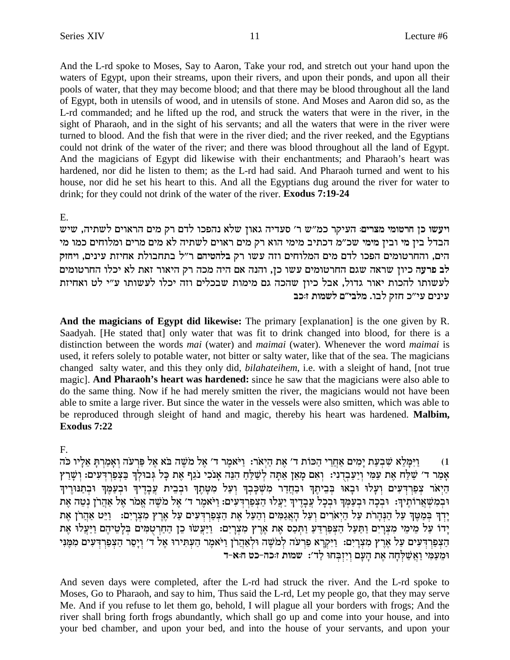And the L-rd spoke to Moses, Say to Aaron, Take your rod, and stretch out your hand upon the waters of Egypt, upon their streams, upon their rivers, and upon their ponds, and upon all their pools of water, that they may become blood; and that there may be blood throughout all the land of Egypt, both in utensils of wood, and in utensils of stone. And Moses and Aaron did so, as the L-rd commanded; and he lifted up the rod, and struck the waters that were in the river, in the sight of Pharaoh, and in the sight of his servants; and all the waters that were in the river were turned to blood. And the fish that were in the river died; and the river reeked, and the Egyptians could not drink of the water of the river; and there was blood throughout all the land of Egypt. And the magicians of Egypt did likewise with their enchantments; and Pharaoh's heart was hardened, nor did he listen to them; as the L-rd had said. And Pharaoh turned and went to his house, nor did he set his heart to this. And all the Egyptians dug around the river for water to drink; for they could not drink of the water of the river. Exodus 7:19-24

#### $E_{\rm{L}}$

ויעשו כן חרטומי מצרים: העיקר כמ"ש ר' סעדיה גאון שלא נהפכו לדם רק מים הראוים לשתיה, שיש הבדל בין מי ובין מימי שכ״מ דכתיב מימי הוא רק מים ראוים לשתיה לא מים מרים ומלוחים כמו מי הים, והחרטומים הפכו לדם מים המלוחים וזה עשו רק בלהטיהם ר״ל בתחבולת אחיזת עינים, ויחזק לב פרעה כיון שראה שגם החרטומים עשו כן, והנה אם היה מכה רק היאור זאת לא יכלו החרטומים לעשותו להכות יאור גדול, אבל כיון שהכה גם מימות שבכלים וזה יכלו לעשותו ע״י לט ואחיזת עינים עי"כ חזק לבו. מלבי"ם לשמות זוכב

And the magicians of Egypt did likewise: The primary [explanation] is the one given by R. Saadyah. [He stated that] only water that was fit to drink changed into blood, for there is a distinction between the words *mai* (water) and *maimai* (water). Whenever the word *maimai* is used, it refers solely to potable water, not bitter or salty water, like that of the sea. The magicians changed salty water, and this they only did, *bilahateihem*, *i.e.* with a sleight of hand, [not true magic]. And Pharaoh's heart was hardened: since he saw that the magicians were also able to do the same thing. Now if he had merely smitten the river, the magicians would not have been able to smite a large river. But since the water in the vessels were also smitten, which was able to be reproduced through sleight of hand and magic, thereby his heart was hardened. Malbim, **Exodus 7:22** 

### F.

וַיִּמָּלֵא שִׁבְעַת יָמִים אַחֲרֵי הַכּוֹת ד' אֵת הַיִאֹר: וַיֹּאמֵר ד' אֵל מֹשֵׁה בֹּא אֵל פַּרְעֹה וְאָמַרִתָּ אֵלָיו כֹּה  $(1)$ אָמַר ד׳ שַׁלַּח אֶת עַמִּי וְיַעֲבְדִנִי: וְאִם מָאֶן אַתָּה לְשַׁלֵּחַ הִנֵּה אָנֹכִי נֹגֵף אֵת כָּל גִּבוּלְךָ בַּצְפַרִדְעִים: וְשַׁרַץ הַיָּאֹר צִפַּרְדִּעִים וְעָלוּ וּבָאוּ בִּבִיתֵךְ וּבַחֲדַר מִשְׁכָּבְךְ וְעַל מִטָּתֵךְ וּבְבֵית עֲבָדֵיךְ וּבְעַמֵּךְ וּבְתַנּוּרֵיךְ וּבְמִשְׁאֲרוֹתֵיךְ: וּבְכָה וּבְעַמְךְ וּבְכָל עֲבָדֵיךְ יַעֲלוּ הַצְפַרְדִעִים: וַיֹּאמֶר ד׳ אֵל מֹשֶׁה אֱמֹר אֵל אַהֲרֹן נְטֶה אֵת יַרְךְ בְּמַטֶּךְ עַל הַנְהַרֹת עַל הַיָּאֹרִים וְעַל הָאֲגַמִּים וְהַעָּל אֶת הַצְפַרְדִּעִים עַל אֶרֶץ מִצְרַיִם: - וַיֵּט אַהֲרֹן אֶת יִּדוֹ עַל מֵימֵי מִצְרָיִם וַתַּעַל הַצִּפַרְדֵעַ וַתְּכַס אֶת אֶרֶץ מִצְרָיִם: וַיַּעֲשׂוּ כֵן הַחַרְטָמִים בְּלְטֵיהֶם וַיַּעֲלוּ אֶת הַצְפַרְדִּעִים עַל אֶרֶץ מִצְרַיִם: וַיִּקְרָא פַרִעה לְמֹשֶׁה וּלְאָהֲרֹן וַיֹּאמֶר הַעִּתְּירוּ אֶל ד׳ וְיַסֶר הַצְפַרְדָעִים מִמְּנִי ומעמי ואשלחה את העם ויזבחו לד׳: שמות זוכה-כט הוא-ד

And seven days were completed, after the L-rd had struck the river. And the L-rd spoke to Moses, Go to Pharaoh, and say to him, Thus said the L-rd, Let my people go, that they may serve Me. And if you refuse to let them go, behold, I will plague all your borders with frogs; And the river shall bring forth frogs abundantly, which shall go up and come into your house, and into your bed chamber, and upon your bed, and into the house of your servants, and upon your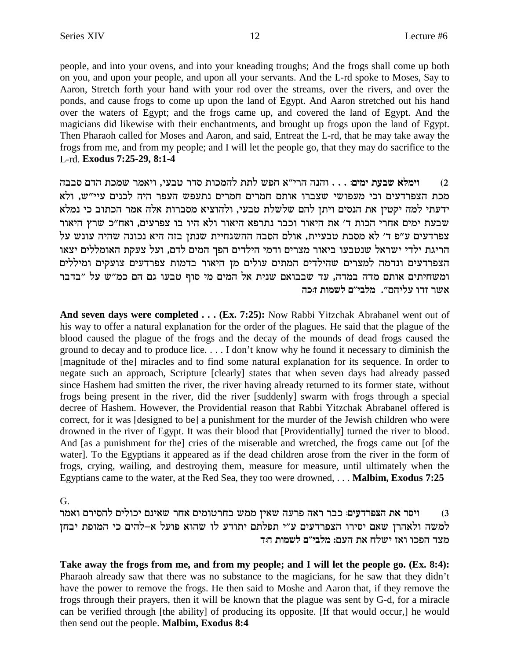people, and into your ovens, and into your kneading troughs; And the frogs shall come up both on you, and upon your people, and upon all your servants. And the L-rd spoke to Moses, Say to Aaron, Stretch forth your hand with your rod over the streams, over the rivers, and over the ponds, and cause frogs to come up upon the land of Egypt. And Aaron stretched out his hand over the waters of Egypt; and the frogs came up, and covered the land of Egypt. And the magicians did likewise with their enchantments, and brought up frogs upon the land of Egypt. Then Pharaoh called for Moses and Aaron, and said, Entreat the L-rd, that he may take away the frogs from me, and from my people; and I will let the people go, that they may do sacrifice to the L-rd. Exodus 7:25-29, 8:1-4

וימלא שבעת ימים: . . . והנה הרי״א חפש לתת להמכות סדר טבעי, ויאמר שמכת הדם סבבה  $(2)$ מכת הצפרדעים וכי מעפושי שצברו אותם חמרים חמרים נתעפש העפר היה לכנים עיי"ש, ולא ידעתי למה יקטין את הנסים ויתן להם שלשלת טבעי, ולהוציא מסברות אלה אמר הכתוב כי נמלא שבעת ימים אחרי הכות ד' את היאור וכבר נתרפא היאור ולא היו בו צפרעים, ואח"כ שרץ היאור צפרדעים ע"פ ד' לא מסבת טבעיית, אולם הסבה ההשגחיית שנתן בזה היא נכונה שהיה עונש על הריגת ילדי ישראל שנטבעו ביאור מצרים ודמי הילדים הפך המים לדם, ועל צעקת האומללים יצאו הצפרדעים ונדמה למצרים שהילדים המתים עולים מז היאור בדמות צפרדעים צועקים ומיללים ומשחיתים אותם מדה במדה, עד שבבואם שנית אל המים מי סוף טבעו גם הם כמ"ש על "בדבר אשר זדו עליהם״. מלבי״ם לשמות זוכה

And seven days were completed . . . (Ex. 7:25): Now Rabbi Yitzchak Abrabanel went out of his way to offer a natural explanation for the order of the plagues. He said that the plague of the blood caused the plague of the frogs and the decay of the mounds of dead frogs caused the ground to decay and to produce lice.... I don't know why he found it necessary to diminish the [magnitude of the] miracles and to find some natural explanation for its sequence. In order to negate such an approach, Scripture [clearly] states that when seven days had already passed since Hashem had smitten the river, the river having already returned to its former state, without frogs being present in the river, did the river [suddenly] swarm with frogs through a special decree of Hashem. However, the Providential reason that Rabbi Yitzchak Abrabanel offered is correct, for it was [designed to be] a punishment for the murder of the Jewish children who were drowned in the river of Egypt. It was their blood that [Providentially] turned the river to blood. And [as a punishment for the] cries of the miserable and wretched, the frogs came out [of the water]. To the Egyptians it appeared as if the dead children arose from the river in the form of frogs, crying, wailing, and destroying them, measure for measure, until ultimately when the Egyptians came to the water, at the Red Sea, they too were drowned, ... Malbim, Exodus 7:25

 $G<sub>r</sub>$ 

ויסר את הצפרדעים: כבר ראה פרעה שאין ממש בחרטומים אחר שאינם יכולים להסירם ואמר  $(3)$ למשה ולאהרן שאם יסירו הצפרדעים ע"י תפלתם יתודע לו שהוא פועל א-להים כי המופת יבחן מצד הפכו ואז ישלח את העם: מלבי״ם לשמות ח:ד

Take away the frogs from me, and from my people; and I will let the people go. (Ex. 8:4): Pharaoh already saw that there was no substance to the magicians, for he saw that they didn't have the power to remove the frogs. He then said to Moshe and Aaron that, if they remove the frogs through their prayers, then it will be known that the plague was sent by G-d, for a miracle can be verified through [the ability] of producing its opposite. [If that would occur,] he would then send out the people. Malbim, Exodus 8:4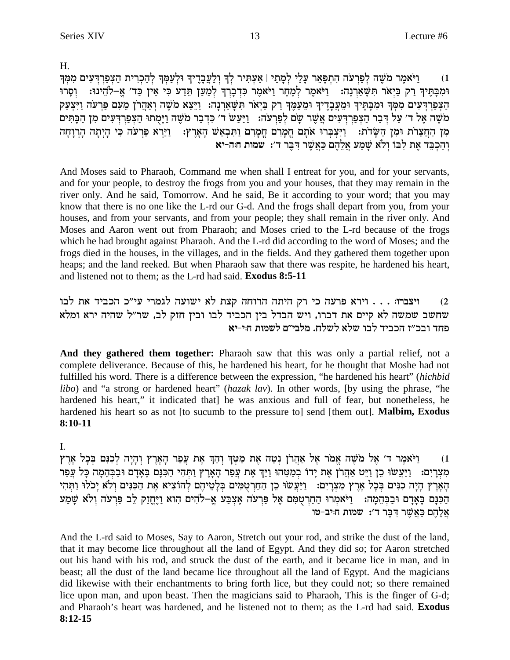$H_{\cdot}$ 

וַיֹּאמֵר מֹשֶׁה לְפַרִעֹה הְתִפָּאֵר עַלַי לְמַתַי | אַעְתִּיר לְךָ וְלַעֲבָדֵיךְ וּלְעַמִּךְ לְהַכְרִית הַצְפַרְדִּעִים מִמְךָ  $(1)$ וּמִבָּתֶּיךְ רַק בַּיָאֹר תִּשָּׁאַרְנָה: 「וַיֹּאמֶר לִמְחָר וַיֹּאמֶר כִּדְבָרְךְ לִמַעַן תֵּדַע כִּי אֵין כַּד׳ אֶ–לֹהֵינוּ: 「וְסָרוּ הַצְפַרְדִּעִים מִמְּךְ וּמִבָּתֵּיךְ וּמֵעֲבָדֵיךְ וּמֵעַמֵּךְ רַק בַּיָאֹר תִּשָּׁאַרְנָה: וַיֵּצֵא מֹשֶׁה וְאַהֲרֹן מֵעָם פַּרְעֹה וַיִּצְעַק מֹשֶׁה אֶל ד׳ עַל דִּבַר הַצִּפַרְדִּעִים אֲשֶׁר שָׂם לְפַרִעֹה: וַיַּעֲשׂ ד׳ כִּדְבַר מֹשֶׁה וַיָּמֻתוּ הַצִּפַרְדִּעִים מִן הַבָּתִּים מִן הַחֲצֵרֹת וּמִן הַשָּׂדֹת: וַיִּצְבְּרוּ אֹתָם חֲמָרִם חֲמָרִם וַתִּבְאַשׁ הָאָרֶץ: וַיַּרְא פַּרְעֹה כִּי הָיִתָה הָרְוָחָה והכבד את לבו ולא שמע אלהם כאשר דבר ד׳: שמות חה-יא

And Moses said to Pharaoh, Command me when shall I entreat for you, and for your servants, and for your people, to destroy the frogs from you and your houses, that they may remain in the river only. And he said, Tomorrow. And he said, Be it according to your word; that you may know that there is no one like the L-rd our G-d. And the frogs shall depart from you, from your houses, and from your servants, and from your people; they shall remain in the river only. And Moses and Aaron went out from Pharaoh; and Moses cried to the L-rd because of the frogs which he had brought against Pharaoh. And the L-rd did according to the word of Moses; and the frogs died in the houses, in the villages, and in the fields. And they gathered them together upon heaps; and the land reeked. But when Pharaoh saw that there was respite, he hardened his heart, and listened not to them; as the L-rd had said. Exodus 8:5-11

ויצברו: . . . וירא פרעה כי רק היתה הרוחה קצת לא ישועה לגמרי עי״כ הכביד את לבו  $(2)$ שחשב שמשה לא קיים את דברו, ויש הבדל בין הכביד לבו ובין חזק לב, שר"ל שהיה ירא ומלא פחד ובכ״ז הכביד לבו שלא לשלח. מלבי״ם לשמות חיי-יא

And they gathered them together: Pharaoh saw that this was only a partial relief, not a complete deliverance. Because of this, he hardened his heart, for he thought that Moshe had not fulfilled his word. There is a difference between the expression, "he hardened his heart" (hichbid *libo*) and "a strong or hardened heart" (hazak lav). In other words, (by using the phrase, "he hardened his heart," it indicated that] he was anxious and full of fear, but nonetheless, he hardened his heart so as not [to sucumb to the pressure to] send [them out]. **Malbim, Exodus** 8:10-11

### L.

וַיֹּאמֵר ד׳ אֲל מֹשֶׁה אֱמֹר אֵל אַהֲרֹן נְטֶה אֶת מַטַּךְ וָהָךְ אֶת עֲפַר הָאֲרֶץ וָהֵיָה לְכָנִם בְּכַל אֶרֶץ  $(1)$ מצרים: ויעשו כן ויט אהרן את ידו במטהו ויך את עפר הארץ ותהי הכנם באדם ובבהמה כל עפר הָאָרָץ הָיָה כִנִּים בְּכָל אֶרֶץ מִצְרָיִם: וַיַּעֲשׂוּ כֵן הַחַרִטְמִים בִּלָשֵׁיהֵם לְהוֹצִיא אֵת הַכִּנִּים וְלֹא יַכֹלוּ וַתְּהִי הַכִּנָּם בָּאֲדָם וּבַבְּהֵמָה: וֹיֹאמְרוּ הַחַרְטָמִם אֶל פַּרְעֹה אֶצְבַע אֱ–לֹהִים הוא וַיֶּחֱזַק לֵב פַּרְעֹה וְלֹא שָׁמַע אַלְהֶם כַּאֲשֶׁר דִּבְּר ד': שמות חייב-טו

And the L-rd said to Moses, Say to Aaron, Stretch out your rod, and strike the dust of the land, that it may become lice throughout all the land of Egypt. And they did so; for Aaron stretched out his hand with his rod, and struck the dust of the earth, and it became lice in man, and in beast; all the dust of the land became lice throughout all the land of Egypt. And the magicians did likewise with their enchantments to bring forth lice, but they could not; so there remained lice upon man, and upon beast. Then the magicians said to Pharaoh, This is the finger of G-d; and Pharaoh's heart was hardened, and he listened not to them; as the L-rd had said. Exodus  $8:12-15$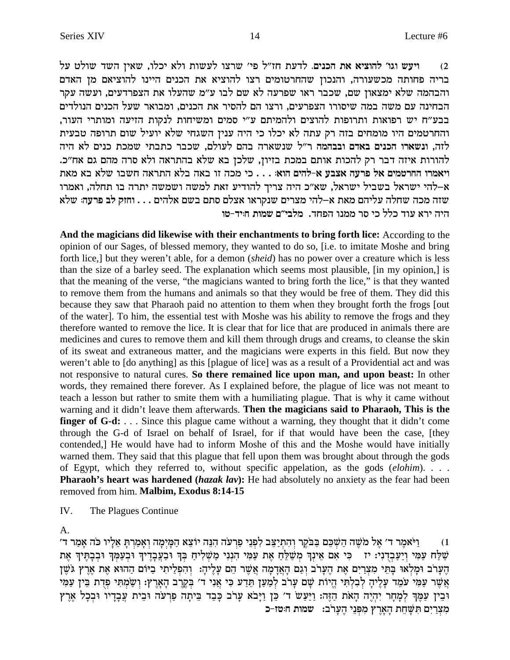ויעש וגו׳ להוציא את הכנים. לדעת חז"ל פי׳ שרצו לעשות ולא יכלו, שאין השד שולט על  $(2)$ בריה פחותה מכשעורה, והנכון שהחרטומים רצו להוציא את הכנים היינו להוציאם מן האדם והבהמה שלא ימצאון שם, שכבר ראו שפרעה לא שם לבו ע״מ שהעלו את הצפרדעים, ועשה עקר הבחינה עם משה במה שיסורו הצפרעים, ורצו הם להסיר את הכנים, ומבואר שעל הכנים הנולדים בבע״ח יש רפואות ותרופות להוצים ולהמיתם ע״י סמים ומשיחות לנקות הזיעה ומותרי העור, והחרטמים היו מומחים בזה רק עתה לא יכלו כי היה ענין השגחי שלא יועיל שום תרופה טבעית לזה, ונשארו הכנים באדם ובבהמה ר״ל שנשארה בהם לעולם, שכבר כתבתי שמכת כנים לא היה להורות איזה דבר רק להכות אותם במכת בזיון, שלכן בא שלא בהתראה ולא סרה מהם גם אח״כ. ויאמרו החרטמים אל פרעה אצבע א-להים הוא: . . . כי מכה זו באה בלא התראה חשבו שלא בא מאת א–להי ישראל בשביל ישראל, שא״כ היה צריך להודיע זאת למשה ושמשה יתרה בו תחלה, ואמרו שזה מכה שחלה עליהם מאת א–להי מצרים שנקראו אצלם סתם בשם אלהים . . . וחזק לב פרעה: שלא היה ירא עוד כלל כי סר ממנו הפחד. מלבי״ם שמות ה:יד-טו

And the magicians did likewise with their enchantments to bring forth lice: According to the opinion of our Sages, of blessed memory, they wanted to do so, [i.e. to imitate Moshe and bring forth lice,] but they weren't able, for a demon (sheid) has no power over a creature which is less than the size of a barley seed. The explanation which seems most plausible, [in my opinion,] is that the meaning of the verse, "the magicians wanted to bring forth the lice," is that they wanted to remove them from the humans and animals so that they would be free of them. They did this because they saw that Pharaoh paid no attention to them when they brought forth the frogs [out of the water]. To him, the essential test with Moshe was his ability to remove the frogs and they therefore wanted to remove the lice. It is clear that for lice that are produced in animals there are medicines and cures to remove them and kill them through drugs and creams, to cleanse the skin of its sweat and extraneous matter, and the magicians were experts in this field. But now they weren't able to [do anything] as this [plague of lice] was as a result of a Providential act and was not responsive to natural cures. So there remained lice upon man, and upon beast: In other words, they remained there forever. As I explained before, the plague of lice was not meant to teach a lesson but rather to smite them with a humiliating plague. That is why it came without warning and it didn't leave them afterwards. Then the magicians said to Pharaoh, This is the **finger of G-d:** ... Since this plague came without a warning, they thought that it didn't come through the G-d of Israel on behalf of Israel, for if that would have been the case, [they contended,] He would have had to inform Moshe of this and the Moshe would have initially warned them. They said that this plague that fell upon them was brought about through the gods of Egypt, which they referred to, without specific appelation, as the gods  $(elohim)$ ... **Pharaoh's heart was hardened (hazak lav):** He had absolutely no anxiety as the fear had been removed from him. Malbim, Exodus 8:14-15

 $\mathbf{I} \mathbf{V}$ The Plagues Continue

A.

ויֹאמר ד׳ אל מֹשׁה השׁכּם בּבֹקר והתיצב לפני פרעה הנה יוֹצא המימה ואמרת אליו כֹּה אמר ד׳  $(1)$ שַׁלַּח עַמִּי וְיַעַבְדְנִי: יז | כִּי אִם אֵינִךְ מִשַּׁלֵחַ אֶת עַמִּי הִנְנִי מַשְׁלִיחַ בְּךְ וּבַעֲבְדֶיךְ וּבְעַמְךְ וּבְבָהֶיךָ אֶת הַעֲרֹב וּמַלְאוּ בַּתִּי מִצְרֵים אֶת הַעֲרֹב וְגֶם הַאֲדָמָה אֲשֶׁר הֵם עֲלִיהָ: וְהִפְלִיתִי בִיּוֹם הַהוֹא אֶת אֶרִץ גֹּשֵׁן אַשֶׁר עַמַּי עֹמֶד עַלֵּיה לְבְלִתִּי הֵיוֹת שֵׁם עַרֹב לִמֲעַן תִּדַע כִּי אֲנִי ד' בְקֵרֶב הָאַרץ: וְשַׂמְתִּי פִדְת בֵּין עַמַּי וּבִין עַמֵּךְ לְמַחַר יִהְיֵה הָאת הַזֶּה: וַיַּעַשׂ ד׳ כֵּן וַיַּבֹא עַרֹב כַּבֵד בֵּיתָה פַרְעֹה וּבֵית עֲבָדָיו וּבְכָל אֶרֶץ מִצְרַיִם תִּשָּׁחֵת הָאֲרֶץ מִפְּנֵי הֵעֲרֹב: שמות חוּטז-כ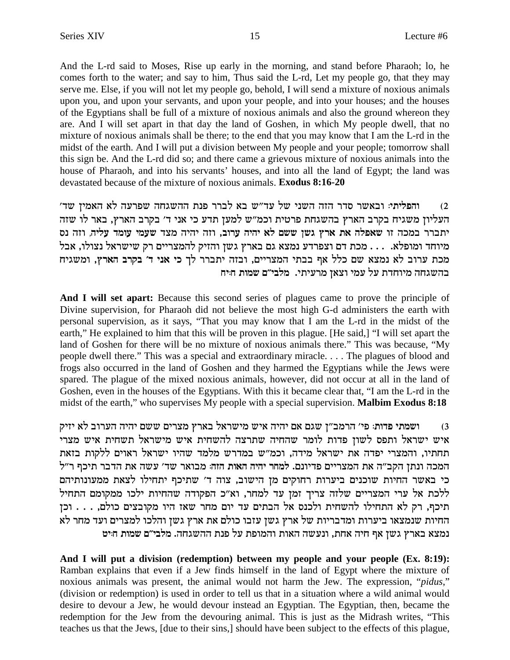And the L-rd said to Moses, Rise up early in the morning, and stand before Pharaoh; lo, he comes forth to the water; and say to him, Thus said the L-rd, Let my people go, that they may serve me. Else, if you will not let my people go, behold, I will send a mixture of noxious animals upon you, and upon your servants, and upon your people, and into your houses; and the houses of the Egyptians shall be full of a mixture of noxious animals and also the ground whereon they are. And I will set apart in that day the land of Goshen, in which My people dwell, that no mixture of noxious animals shall be there; to the end that you may know that I am the L-rd in the midst of the earth. And I will put a division between My people and your people; tomorrow shall this sign be. And the L-rd did so; and there came a grievous mixture of noxious animals into the house of Pharaoh, and into his servants' houses, and into all the land of Egypt; the land was devastated because of the mixture of noxious animals. Exodus 8:16-20

והפליתי: ובאשר סדר הזה השני של עד"ש בא לברר פנת ההשגחה שפרעה לא האמין שד'  $(2)$ העליון משגיח בקרב הארץ בהשגחת פרטית וכמ"ש למען תדע כי אני ד' בקרב הארץ, באר לו שזה יתברר במכה זו שאפלה את ארץ גשן ששם לא יהיה ערוב, וזה יהיה מצד שעמי עומד עליה, וזה נס מיוחד ומופלא. . . . מכת דם וצפרדע נמצא גם בארץ גשן והזיק להמצריים רק שישראל נצולו, אבל מכת ערוב לא נמצא שם כלל אף בבתי המצריים, ובזה יתברר לך כי אני ד' בקרב הארץ, ומשגיח בהשגחה מיוחדת על עמי וצאן מרעיתי. מלבי״ם שמות חייח

And I will set apart: Because this second series of plagues came to prove the principle of Divine supervision, for Pharaoh did not believe the most high G-d administers the earth with personal supervision, as it says, "That you may know that I am the L-rd in the midst of the earth," He explained to him that this will be proven in this plague. [He said,] "I will set apart the land of Goshen for there will be no mixture of noxious animals there." This was because, "My people dwell there." This was a special and extraordinary miracle.... The plagues of blood and frogs also occurred in the land of Goshen and they harmed the Egyptians while the Jews were spared. The plague of the mixed noxious animals, however, did not occur at all in the land of Goshen, even in the houses of the Egyptians. With this it became clear that, "I am the L-rd in the midst of the earth," who supervises My people with a special supervision. Malbim Exodus 8:18

ושמתי פדות: פי׳ הרמב״ן שגם אם יהיה איש מישראל בארץ מצרים ששם יהיה הערוב לא יזיק  $(3)$ איש ישראל ותפס לשון פדות לומר שהחיה שתרצה להשחית איש מישראל תשחית איש מצרי תחתיו, והמצרי יפדה את ישראל מידה, וכמ"ש במדרש מלמד שהיו ישראל ראוים ללקות בזאת המכה ונתן הקב"ה את המצריים פדיונם. למחר יהיה האות הזה: מבואר שד' עשה את הדבר תיכף ר"ל כי באשר החיות שוכנים ביערות רחוקים מן הישוב, צוה ד׳ שתיכף יתחילו לצאת ממעונותיהם ללכת אל ערי המצריים שלזה צריך זמן עד למחר, וא"כ הפקודה שהחיות ילכו ממקומם התחיל תיכף, רק לא התחילו להשחית ולכנס אל הבתים עד יום מחר שאז היו מקובצים כולם, . . . וכן החיות שנמצאו ביערות ומדבריות של ארץ גשן עזבו כולם את ארץ גשן והלכו למצרים ועד מחר לא נמצא בארץ גשן אף חיה אחת, ונעשה האות והמופת על פנת ההשגחה. מלבי״ם שמות חיט

And I will put a division (redemption) between my people and your people (Ex. 8:19): Ramban explains that even if a Jew finds himself in the land of Egypt where the mixture of noxious animals was present, the animal would not harm the Jew. The expression, "*pidus*," (division or redemption) is used in order to tell us that in a situation where a wild animal would desire to devour a Jew, he would devour instead an Egyptian. The Egyptian, then, became the redemption for the Jew from the devouring animal. This is just as the Midrash writes, "This teaches us that the Jews, [due to their sins,] should have been subject to the effects of this plague,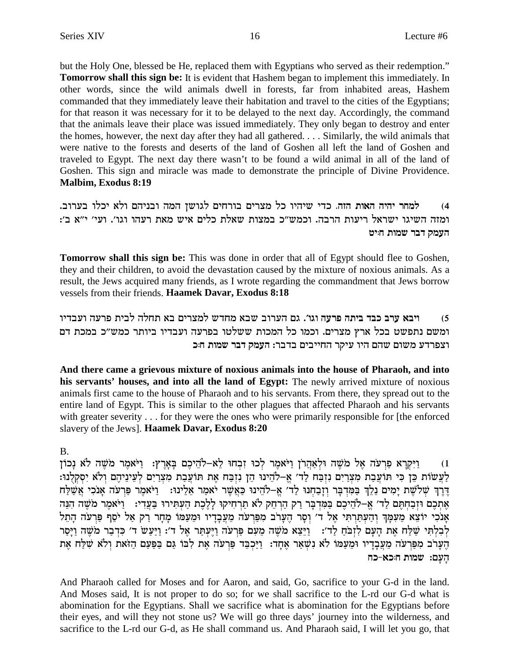but the Holy One, blessed be He, replaced them with Egyptians who served as their redemption." Tomorrow shall this sign be: It is evident that Hashem began to implement this immediately. In other words, since the wild animals dwell in forests, far from inhabited areas, Hashem commanded that they immediately leave their habitation and travel to the cities of the Egyptians; for that reason it was necessary for it to be delayed to the next day. Accordingly, the command that the animals leave their place was issued immediately. They only began to destroy and enter the homes, however, the next day after they had all gathered.... Similarly, the wild animals that were native to the forests and deserts of the land of Goshen all left the land of Goshen and traveled to Egypt. The next day there wasn't to be found a wild animal in all of the land of Goshen. This sign and miracle was made to demonstrate the principle of Divine Providence. Malbim, Exodus 8:19

למחר יהיה האות הזה. כדי שיהיו כל מצרים בורחים לגושן המה ובניהם ולא יכלו בערוב.  $(4)$ ומזה השיגו ישראל ריעות הרבה. וכמש״כ במצות שאלת כלים איש מאת רעהו וגו׳. ועי׳ י״א ב׳: העמק דבר שמות חייט

**Tomorrow shall this sign be:** This was done in order that all of Egypt should flee to Goshen, they and their children, to avoid the devastation caused by the mixture of noxious animals. As a result, the Jews acquired many friends, as I wrote regarding the commandment that Jews borrow vessels from their friends. Haamek Davar, Exodus 8:18

ויבא ערב כבד ביתה פרעה וגו׳. גם הערוב שבא מחדש למצרים בא תחלה לבית פרעה ועבדיו  $(5)$ ומשם נתפשט בכל ארץ מצרים. וכמו כל המכות ששלטו בפרעה ועבדיו ביותר כמש"כ במכת דם וצפרדע משום שהם היו עיקר החייבים בדבר: העמק דבר שמות ח:כ

And there came a grievous mixture of noxious animals into the house of Pharaoh, and into his servants' houses, and into all the land of Egypt: The newly arrived mixture of noxious animals first came to the house of Pharaoh and to his servants. From there, they spread out to the entire land of Egypt. This is similar to the other plagues that affected Pharaoh and his servants with greater severity . . . for they were the ones who were primarily responsible for [the enforced slavery of the Jews]. Haamek Davar, Exodus 8:20

### $B<sub>1</sub>$

וַיִּקְרָא פַרְעֹה אֱל מֹשֶׁה וּלְאַהֲרֹן וַיֹּאמֶר לְכוּ זָבְחוּ לָא–לֹהֵיכֶם בַּאֲרֶץ: וַיֹּאמֶר מֹשֶׁה לֹא נַכוֹן  $(1)$ לעשות כן כי תועבת מצרים נזבח לד׳ א-להינו הן נזבח את תועבת מצרים לעיניהם ולא יסקלנו: דֶרֶךְ שְׁלֹשֶׁת יָמִים נֵלֵךְ בַּמִּדְבָּר וְזָבַחְנוּ לַד' אֵֶ–לֹהֵינוּ כַּאֲשֶׁר יֹאמַר אֵלֵינוּ: וַיֹּאמֵר פַּרְעֹה אַנֹכִי אֲשֵׁלַח אֶתְכֶם וּזְבַחְתֵּם לַד' אֵ–לֹהֵיכֶם בַּמִּדְבַר רַק הַרְחֶק לֹא תַרְחִיקוּ לַלֵּכֶת הַעִּתִּירוּ בַּעֲדִי: 「וַיֹּאמֶר מֹשֶׁה הִנֵּה אָנכִי יוֹצֵא מֵעִמָּךְ וְהַעִתַּרְתִּי אֵל ד' וְסָר הֵעָרֹב מִפַּרְעֹה מֵעֲבָדָיו וּמֵעַמּוֹ מָחָר רַק אַל יֹסֵף פַּרְעֹה הָתֵל לְבְלְתִּי שַׁלַּח אֶת הַעָּם לְזְבֹּחַ לַד': [יַיֵּצֵא מֹשֶׁה מֵעָם פַּרְעֹה וַיֵּעָתַּר אֵל ד': וַיַּעַשׂ ד' כִּדְבַר מֹשֶׁה וַיַּסַר הֶעָרֹב מִפַּרְעֹה מֵעֲבְדָיו וּמֵעַמּוֹ לֹא נִשְׁאַר אֶחְד: וַיַּכְבֵּד פַּרְעֹה אֶת לְבוֹ גַּם בַּפַּעַם הַזֹּאת וְלֹא שִׁלַּח אֶת הַעֲם: שמות הוכא-כח

And Pharaoh called for Moses and for Aaron, and said, Go, sacrifice to your G-d in the land. And Moses said, It is not proper to do so; for we shall sacrifice to the L-rd our G-d what is abomination for the Egyptians. Shall we sacrifice what is abomination for the Egyptians before their eyes, and will they not stone us? We will go three days' journey into the wilderness, and sacrifice to the L-rd our G-d, as He shall command us. And Pharaoh said, I will let you go, that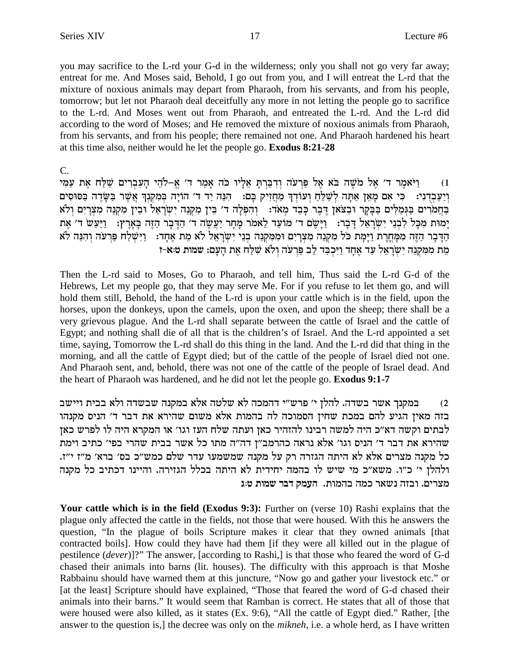you may sacrifice to the L-rd your G-d in the wilderness; only you shall not go very far away; entreat for me. And Moses said, Behold, I go out from you, and I will entreat the L-rd that the mixture of noxious animals may depart from Pharaoh, from his servants, and from his people, tomorrow; but let not Pharaoh deal deceitfully any more in not letting the people go to sacrifice to the L-rd. And Moses went out from Pharaoh, and entreated the L-rd. And the L-rd did according to the word of Moses; and He removed the mixture of noxious animals from Pharaoh, from his servants, and from his people; there remained not one. And Pharaoh hardened his heart at this time also, neither would he let the people go. **Exodus 8:21-28** 

 $C_{\cdot}$ 

וַיֹּאמֵר ד׳ אֱל מֹשֶׁה בֹּא אֱל פַּרְעֹה וְדְבַרְתַּ אֶלֵיו כֹּה אֲמַר ד׳ אֱ-לֹהֶי הַעָּבְרִים שַׁלַּח אֶת עַמִּי  $(1)$ וְיַעֲבְדִיִי: כִּי אִם מָאֵן אַתָּה לְשַׁלֵּחַ וְעוֹדְךָ מַחֲזִיק בָּם: הִנֵּה יַד ד׳ הוֹיַה בְּמִקְנָךְ אֲשֶׁר בַּשָּׂדֵה בַּסּוּסִים בַּחֲמֹרִים בַּגְמַלִּים בַּבְקַר וּבַצֹּאַן דֶּבֶר כַּבֶד מִאֹד: וְהִפְלַה ד' בֵּין מִקְנָה יְשָׂרַאֵל וּבֵין מִקְנֶה מִצְרַיִם וְלֹא .<br>יָמוּת מִכָּל לְבְנֵי יִשְׂרָאֵל דָּבְר: וַיָּשֶׁם ד׳ מוֹעֵד לֵאמֹר מְחָר יַעֲשֶׂה ד׳ הַדָּבְר הַזֶּה בְּאָרֶץ: וַיַּעַשׁ ד׳ אֶת הַדְּבָר הַזֶּה מִמְּחֲרָת וַיָּמָת כֹּל מִקְנֵה מִצְרָיִם וּמִמִּקְנֵה בְנֵי יִשְׂרָאֵל לֹא מֵת אֶחָד: וַיִּשְׁלַח פַּרְעֹה וְהִנֵּה לֹא מֵת מִמְקְנֵה יְשִׂרְאֵל עַד אֶחָד וַיִּכְבַד לֵב פַּרְעֹה וְלֹא שָׁלַּח אֶת הָעָם: שמות ט:א-ז

Then the L-rd said to Moses, Go to Pharaoh, and tell him, Thus said the L-rd G-d of the Hebrews, Let my people go, that they may serve Me. For if you refuse to let them go, and will hold them still, Behold, the hand of the L-rd is upon your cattle which is in the field, upon the horses, upon the donkeys, upon the camels, upon the oxen, and upon the sheep; there shall be a very grievous plague. And the L-rd shall separate between the cattle of Israel and the cattle of Egypt; and nothing shall die of all that is the children's of Israel. And the L-rd appointed a set time, saying, Tomorrow the L-rd shall do this thing in the land. And the L-rd did that thing in the morning, and all the cattle of Egypt died; but of the cattle of the people of Israel died not one. And Pharaoh sent, and, behold, there was not one of the cattle of the people of Israel dead. And the heart of Pharaoh was hardened, and he did not let the people go. Exodus 9:1-7

במקנך אשר בשדה. להלן י' פרש"י דהמכה לא שלטה אלא במקנה שבשדה ולא בבית ויישב  $(2)$ בזה מאין הגיע להם במכת שחין הסמוכה לה בהמות אלא משום שהירא את דבר ד' הניס מקנהו לבתים וקשה דא״כ היה למשה רבינו להזהיר כאן ועתה שלח העז וגו׳ או המקרא היה לו לפרש כאן שהירא את דבר ד' הניס וגו' אלא נראה כהרמב"ן דה"ה מתו כל אשר בבית שהרי בפי' כתיב וימת כל מקנה מצרים אלא לא היתה הגזרה רק על מקנה שמשמעו עדר שלם כמש״כ בס׳ ברא׳ מ״ז י״ז. ולהלן י' כ"ו. משא"כ מי שיש לו בהמה יחידית לא היתה בכלל הגזירה. והיינו דכתיב כל מקנה מצרים. ובזה נשאר כמה בהמות. העמק דבר שמות ט:ג

Your cattle which is in the field (Exodus 9:3): Further on (verse 10) Rashi explains that the plague only affected the cattle in the fields, not those that were housed. With this he answers the question, "In the plague of boils Scripture makes it clear that they owned animals [that contracted boils]. How could they have had them [if they were all killed out in the plague of pestilence *(dever)*]?" The answer, *[according to Rashi,]* is that those who feared the word of G-d chased their animals into barns (lit. houses). The difficulty with this approach is that Moshe Rabbainu should have warned them at this juncture, "Now go and gather your livestock etc." or [at the least] Scripture should have explained, "Those that feared the word of G-d chased their animals into their barns." It would seem that Ramban is correct. He states that all of those that were housed were also killed, as it states (Ex. 9:6), "All the cattle of Egypt died." Rather, [the answer to the question is,] the decree was only on the *mikneh*, i.e. a whole herd, as I have written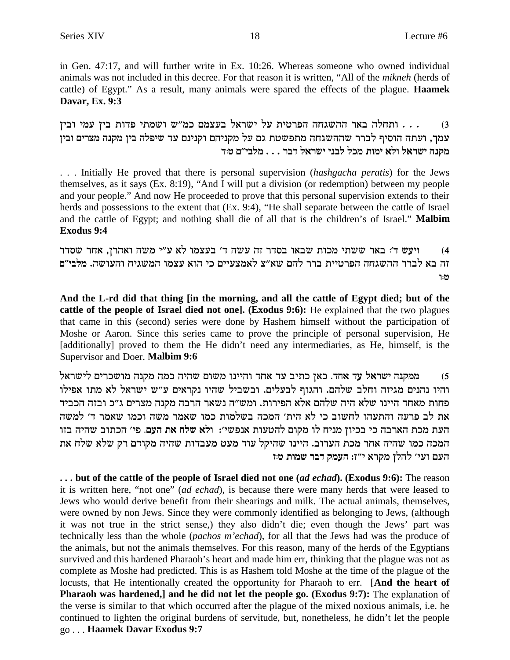in Gen. 47:17, and will further write in Ex. 10:26. Whereas someone who owned individual animals was not included in this decree. For that reason it is written, "All of the *mikneh* (herds of cattle) of Egypt." As a result, many animals were spared the effects of the plague. **Haamek Davar, Ex. 9:3**

ותחלה באר ההשגחה הפרטית על ישראל בעצמם כמ"ש ושמתי פדות בין עמי ובין  $\ldots$ **oiae mixvn dpwn oia dltiy** cr mpipwe mdipwn lr mb zhytzn dgbyddy xxal siqed dzre ,jnr **c:h m"ialn** . . . **xac l`xyi ipal lkn zeni `le l`xyi dpwn**

. . . Initially He proved that there is personal supervision (*hashgacha peratis*) for the Jews themselves, as it says (Ex. 8:19), "And I will put a division (or redemption) between my people and your people." And now He proceeded to prove that this personal supervision extends to their herds and possessions to the extent that (Ex. 9:4), "He shall separate between the cattle of Israel and the cattle of Egypt; and nothing shall die of all that is the children's of Israel."**Malbim Exodus 9:4**

4) ויעש ד׳ באר ששתי מכות שבאו בסדר זה עשה ד׳ בעצמו לא ע״י משה ואהרן, אחר שסדר <mark>זה בא לברר ההשגחה הפרטיית ברר להם שא״צ לאמצעיים כי הוא עצמו המשגיח והעושה. מלבי״ם</mark> **e:h**

**And the L-rd did that thing [in the morning, and all the cattle of Egypt died; but of the cattle of the people of Israel died not one]. (Exodus 9:6):** He explained that the two plagues that came in this (second) series were done by Hashem himself without the participation of Moshe or Aaron. Since this series came to prove the principle of personal supervision, He [additionally] proved to them the He didn't need any intermediaries, as He, himself, is the Supervisor and Doer. **Malbim 9:6**

l`xyil mixkyen dpwn dnk didy meyn epiide cg` cr aizk o`k **.cg` cr l`xyi dpwnn** (5 והיו נהנים מגיזה וחלב שלהם. והגוף לבעלים. ובשביל שהיו נקראים ע"ש ישראל לא מתו אפילו פחות מאחד היינו שלא היה שלהם אלא הפירות. ומש״ה נשאר הרבה מקנה מצרים ג״כ ובזה הכביד את לב פרעה והתעהו לחשוב כי לא הית' המכה בשלמות כמו שאמר משה וכמו שאמר ד' למשה העת מכת הארבה כי בכיון מניח לו מקום להטעות אנפשי׳: ולא שלח את העם. פי׳ הכתוב שהיה בזו המכה כמו שהיה אחר מכת הערוב. היינו שהיקל עוד מעט מעבדות שהיה מקודם רק שלא שלח את **העם ועי' להלן מקרא י"ז: העמק דבר שמות ט:ז** 

**. . . but of the cattle of the people of Israel died not one (***ad echad***). (Exodus 9:6):** The reason it is written here, "not one" (*ad echad*), is because there were many herds that were leased to Jews who would derive benefit from their shearings and milk. The actual animals, themselves, were owned by non Jews. Since they were commonly identified as belonging to Jews, (although it was not true in the strict sense,) they also didn't die; even though the Jews' part was technically less than the whole (*pachos m'echad*), for all that the Jews had was the produce of the animals, but not the animals themselves. For this reason, many of the herds of the Egyptians survived and this hardened Pharaoh's heart and made him err, thinking that the plague was not as complete as Moshe had predicted. This is as Hashem told Moshe at the time of the plague of the locusts, that He intentionally created the opportunity for Pharaoh to err. [**And the heart of Pharaoh was hardened,] and he did not let the people go. (Exodus 9:7):** The explanation of the verse is similar to that which occurred after the plague of the mixed noxious animals, i.e. he continued to lighten the original burdens of servitude, but, nonetheless, he didn't let the people go . . . **Haamek Davar Exodus 9:7**